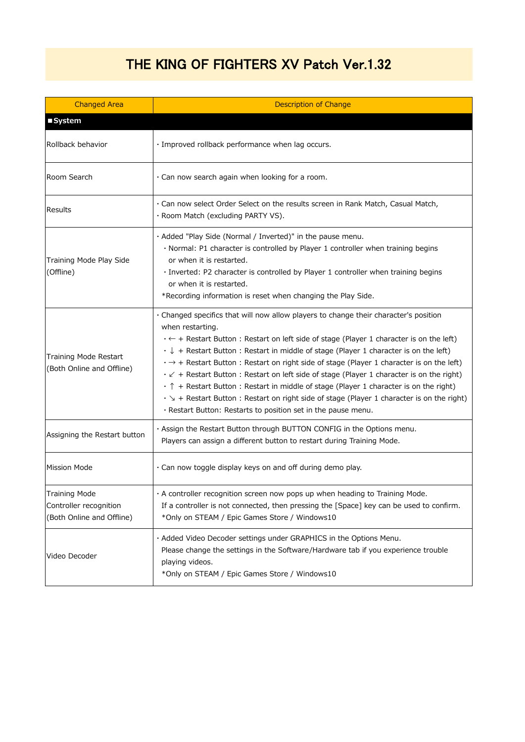## THE KING OF FIGHTERS XV Patch Ver.1.32

| <b>Changed Area</b>                                                  | <b>Description of Change</b>                                                                                                                                                                                                                                                                                                                                                                                                                                                                                                                                                                                                                                                                                                                                                                                                              |
|----------------------------------------------------------------------|-------------------------------------------------------------------------------------------------------------------------------------------------------------------------------------------------------------------------------------------------------------------------------------------------------------------------------------------------------------------------------------------------------------------------------------------------------------------------------------------------------------------------------------------------------------------------------------------------------------------------------------------------------------------------------------------------------------------------------------------------------------------------------------------------------------------------------------------|
| ■ System                                                             |                                                                                                                                                                                                                                                                                                                                                                                                                                                                                                                                                                                                                                                                                                                                                                                                                                           |
| Rollback behavior                                                    | · Improved rollback performance when lag occurs.                                                                                                                                                                                                                                                                                                                                                                                                                                                                                                                                                                                                                                                                                                                                                                                          |
| Room Search                                                          | $\cdot$ Can now search again when looking for a room.                                                                                                                                                                                                                                                                                                                                                                                                                                                                                                                                                                                                                                                                                                                                                                                     |
| Results                                                              | . Can now select Order Select on the results screen in Rank Match, Casual Match,<br>· Room Match (excluding PARTY VS).                                                                                                                                                                                                                                                                                                                                                                                                                                                                                                                                                                                                                                                                                                                    |
| Training Mode Play Side<br>(Offline)                                 | . Added "Play Side (Normal / Inverted)" in the pause menu.<br>· Normal: P1 character is controlled by Player 1 controller when training begins<br>or when it is restarted.<br>· Inverted: P2 character is controlled by Player 1 controller when training begins<br>or when it is restarted.<br>*Recording information is reset when changing the Play Side.                                                                                                                                                                                                                                                                                                                                                                                                                                                                              |
| Training Mode Restart<br>(Both Online and Offline)                   | · Changed specifics that will now allow players to change their character's position<br>when restarting.<br>$\cdot \leftarrow +$ Restart Button: Restart on left side of stage (Player 1 character is on the left)<br>$\cdot \downarrow$ + Restart Button : Restart in middle of stage (Player 1 character is on the left)<br>$\cdot \rightarrow +$ Restart Button: Restart on right side of stage (Player 1 character is on the left)<br>$\cdot$ $\swarrow$ + Restart Button : Restart on left side of stage (Player 1 character is on the right)<br>$\cdot$ $\uparrow$ + Restart Button : Restart in middle of stage (Player 1 character is on the right)<br>$\cdot$ $\searrow$ + Restart Button : Restart on right side of stage (Player 1 character is on the right)<br>· Restart Button: Restarts to position set in the pause menu. |
| Assigning the Restart button                                         | · Assign the Restart Button through BUTTON CONFIG in the Options menu.<br>Players can assign a different button to restart during Training Mode.                                                                                                                                                                                                                                                                                                                                                                                                                                                                                                                                                                                                                                                                                          |
| <b>Mission Mode</b>                                                  | · Can now toggle display keys on and off during demo play.                                                                                                                                                                                                                                                                                                                                                                                                                                                                                                                                                                                                                                                                                                                                                                                |
| Training Mode<br>Controller recognition<br>(Both Online and Offline) | . A controller recognition screen now pops up when heading to Training Mode.<br>If a controller is not connected, then pressing the [Space] key can be used to confirm.<br>*Only on STEAM / Epic Games Store / Windows10                                                                                                                                                                                                                                                                                                                                                                                                                                                                                                                                                                                                                  |
| Video Decoder                                                        | · Added Video Decoder settings under GRAPHICS in the Options Menu.<br>Please change the settings in the Software/Hardware tab if you experience trouble<br>playing videos.<br>*Only on STEAM / Epic Games Store / Windows10                                                                                                                                                                                                                                                                                                                                                                                                                                                                                                                                                                                                               |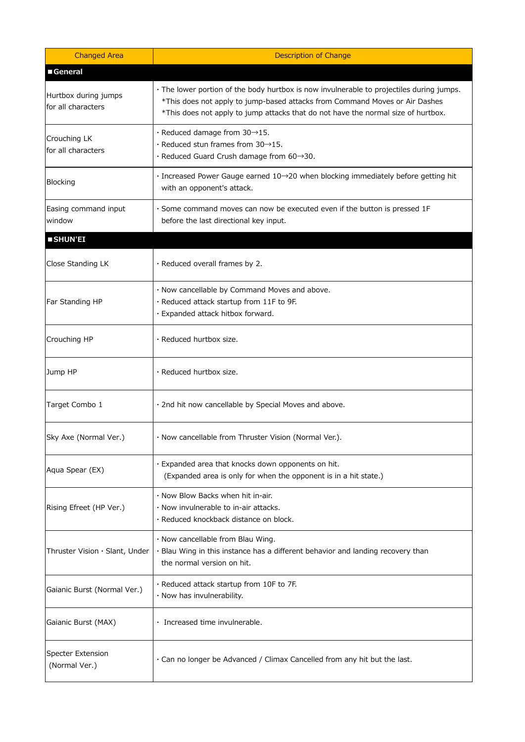| <b>Changed Area</b>                        | <b>Description of Change</b>                                                                                                                                                                                                                                 |
|--------------------------------------------|--------------------------------------------------------------------------------------------------------------------------------------------------------------------------------------------------------------------------------------------------------------|
| General                                    |                                                                                                                                                                                                                                                              |
| Hurtbox during jumps<br>for all characters | · The lower portion of the body hurtbox is now invulnerable to projectiles during jumps.<br>*This does not apply to jump-based attacks from Command Moves or Air Dashes<br>*This does not apply to jump attacks that do not have the normal size of hurtbox. |
| Crouching LK<br>for all characters         | $\cdot$ Reduced damage from 30 $\rightarrow$ 15.<br>$\cdot$ Reduced stun frames from 30 $\rightarrow$ 15.<br>· Reduced Guard Crush damage from 60→30.                                                                                                        |
| Blocking                                   | · Increased Power Gauge earned 10→20 when blocking immediately before getting hit<br>with an opponent's attack.                                                                                                                                              |
| Easing command input<br>window             | · Some command moves can now be executed even if the button is pressed 1F<br>before the last directional key input.                                                                                                                                          |
| SHUN'EI                                    |                                                                                                                                                                                                                                                              |
| Close Standing LK                          | · Reduced overall frames by 2.                                                                                                                                                                                                                               |
| Far Standing HP                            | · Now cancellable by Command Moves and above.<br>· Reduced attack startup from 11F to 9F.<br>· Expanded attack hitbox forward.                                                                                                                               |
| Crouching HP                               | · Reduced hurtbox size.                                                                                                                                                                                                                                      |
| Jump HP                                    | · Reduced hurtbox size.                                                                                                                                                                                                                                      |
| Target Combo 1                             | · 2nd hit now cancellable by Special Moves and above.                                                                                                                                                                                                        |
| Sky Axe (Normal Ver.)                      | · Now cancellable from Thruster Vision (Normal Ver.).                                                                                                                                                                                                        |
| Aqua Spear (EX)                            | . Expanded area that knocks down opponents on hit.<br>(Expanded area is only for when the opponent is in a hit state.)                                                                                                                                       |
| Rising Efreet (HP Ver.)                    | . Now Blow Backs when hit in-air.<br>· Now invulnerable to in-air attacks.<br>· Reduced knockback distance on block.                                                                                                                                         |
| Thruster Vision · Slant, Under             | · Now cancellable from Blau Wing.<br>· Blau Wing in this instance has a different behavior and landing recovery than<br>the normal version on hit.                                                                                                           |
| Gaianic Burst (Normal Ver.)                | · Reduced attack startup from 10F to 7F.<br>· Now has invulnerability.                                                                                                                                                                                       |
| Gaianic Burst (MAX)                        | · Increased time invulnerable.                                                                                                                                                                                                                               |
| <b>Specter Extension</b><br>(Normal Ver.)  | . Can no longer be Advanced / Climax Cancelled from any hit but the last.                                                                                                                                                                                    |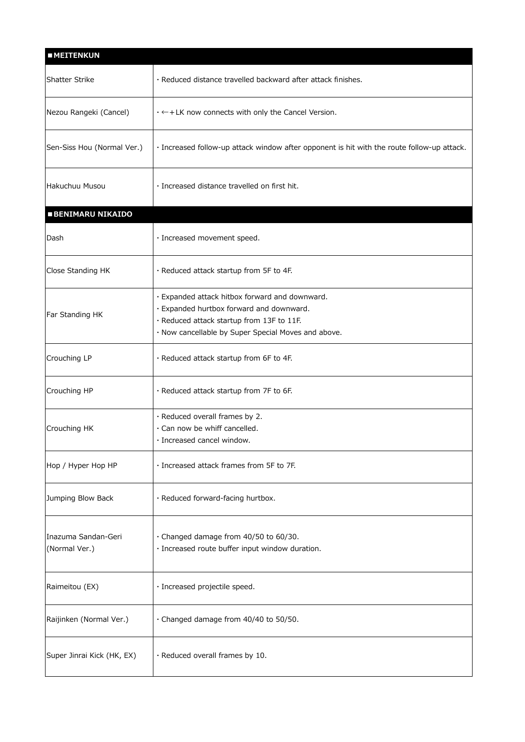| <b>MEITENKUN</b>                     |                                                                                            |
|--------------------------------------|--------------------------------------------------------------------------------------------|
| <b>Shatter Strike</b>                | · Reduced distance travelled backward after attack finishes.                               |
| Nezou Rangeki (Cancel)               | $\cdot \leftarrow + LK$ now connects with only the Cancel Version.                         |
| Sen-Siss Hou (Normal Ver.)           | · Increased follow-up attack window after opponent is hit with the route follow-up attack. |
| Hakuchuu Musou                       | · Increased distance travelled on first hit.                                               |
| <b>BENIMARU NIKAIDO</b>              |                                                                                            |
| Dash                                 | · Increased movement speed.                                                                |
| Close Standing HK                    | · Reduced attack startup from 5F to 4F.                                                    |
|                                      | · Expanded attack hitbox forward and downward.                                             |
| Far Standing HK                      | · Expanded hurtbox forward and downward.                                                   |
|                                      | · Reduced attack startup from 13F to 11F.                                                  |
|                                      | · Now cancellable by Super Special Moves and above.                                        |
| Crouching LP                         | · Reduced attack startup from 6F to 4F.                                                    |
| Crouching HP                         | · Reduced attack startup from 7F to 6F.                                                    |
|                                      | · Reduced overall frames by 2.                                                             |
| Crouching HK                         | · Can now be whiff cancelled.                                                              |
|                                      | $\cdot$ Increased cancel window.                                                           |
| Hop / Hyper Hop HP                   | · Increased attack frames from 5F to 7F.                                                   |
| Jumping Blow Back                    | · Reduced forward-facing hurtbox.                                                          |
| Inazuma Sandan-Geri<br>(Normal Ver.) | · Changed damage from 40/50 to 60/30.<br>· Increased route buffer input window duration.   |
| Raimeitou (EX)                       | · Increased projectile speed.                                                              |
| Raijinken (Normal Ver.)              | · Changed damage from 40/40 to 50/50.                                                      |
| Super Jinrai Kick (HK, EX)           | · Reduced overall frames by 10.                                                            |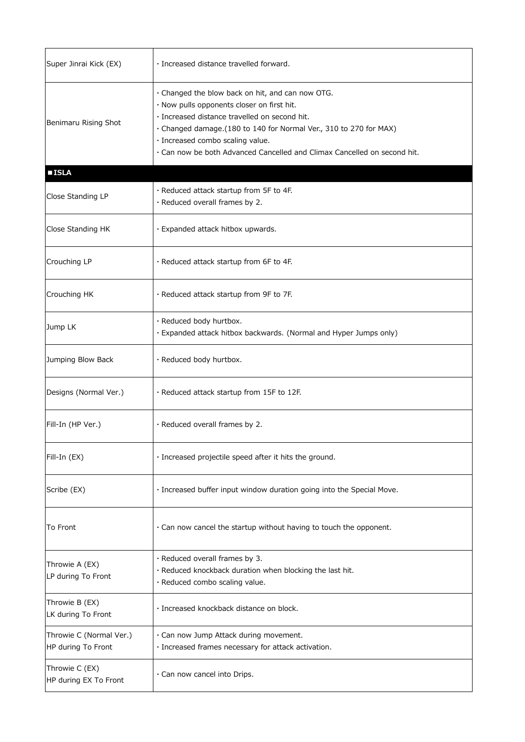| Super Jinrai Kick (EX)                        | · Increased distance travelled forward.                                                                                                                                                                                                                                                                                               |
|-----------------------------------------------|---------------------------------------------------------------------------------------------------------------------------------------------------------------------------------------------------------------------------------------------------------------------------------------------------------------------------------------|
| Benimaru Rising Shot                          | · Changed the blow back on hit, and can now OTG.<br>· Now pulls opponents closer on first hit.<br>· Increased distance travelled on second hit.<br>· Changed damage. (180 to 140 for Normal Ver., 310 to 270 for MAX)<br>· Increased combo scaling value.<br>. Can now be both Advanced Cancelled and Climax Cancelled on second hit. |
| <b>ISLA</b>                                   |                                                                                                                                                                                                                                                                                                                                       |
| Close Standing LP                             | · Reduced attack startup from 5F to 4F.<br>· Reduced overall frames by 2.                                                                                                                                                                                                                                                             |
| Close Standing HK                             | · Expanded attack hitbox upwards.                                                                                                                                                                                                                                                                                                     |
| Crouching LP                                  | . Reduced attack startup from 6F to 4F.                                                                                                                                                                                                                                                                                               |
| Crouching HK                                  | · Reduced attack startup from 9F to 7F.                                                                                                                                                                                                                                                                                               |
| Jump LK                                       | · Reduced body hurtbox.<br>. Expanded attack hitbox backwards. (Normal and Hyper Jumps only)                                                                                                                                                                                                                                          |
| Jumping Blow Back                             | · Reduced body hurtbox.                                                                                                                                                                                                                                                                                                               |
| Designs (Normal Ver.)                         | · Reduced attack startup from 15F to 12F.                                                                                                                                                                                                                                                                                             |
| Fill-In (HP Ver.)                             | · Reduced overall frames by 2.                                                                                                                                                                                                                                                                                                        |
| Fill-In (EX)                                  | · Increased projectile speed after it hits the ground.                                                                                                                                                                                                                                                                                |
| Scribe (EX)                                   | · Increased buffer input window duration going into the Special Move.                                                                                                                                                                                                                                                                 |
| To Front                                      | . Can now cancel the startup without having to touch the opponent.                                                                                                                                                                                                                                                                    |
| Throwie A (EX)<br>LP during To Front          | · Reduced overall frames by 3.<br>· Reduced knockback duration when blocking the last hit.<br>· Reduced combo scaling value.                                                                                                                                                                                                          |
| Throwie B (EX)<br>LK during To Front          | · Increased knockback distance on block.                                                                                                                                                                                                                                                                                              |
| Throwie C (Normal Ver.)<br>HP during To Front | · Can now Jump Attack during movement.<br>· Increased frames necessary for attack activation.                                                                                                                                                                                                                                         |
| Throwie C (EX)<br>HP during EX To Front       | · Can now cancel into Drips.                                                                                                                                                                                                                                                                                                          |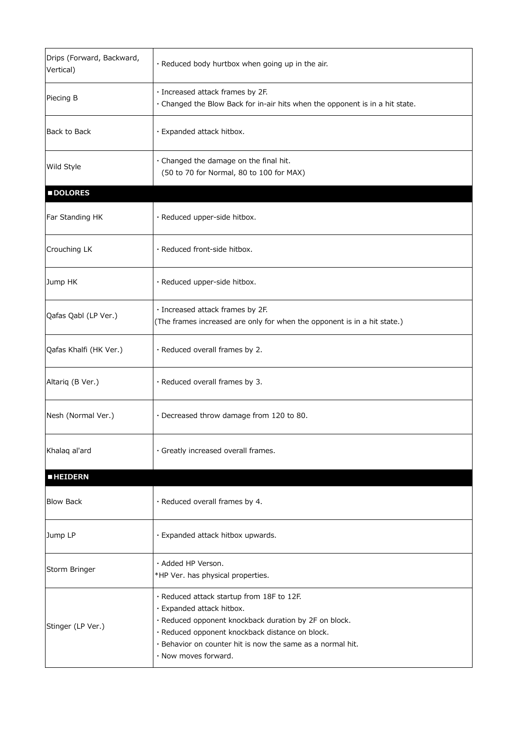| Drips (Forward, Backward,<br>Vertical) | · Reduced body hurtbox when going up in the air.                                                                                                                                                                                                                         |
|----------------------------------------|--------------------------------------------------------------------------------------------------------------------------------------------------------------------------------------------------------------------------------------------------------------------------|
| Piecing B                              | · Increased attack frames by 2F.<br>· Changed the Blow Back for in-air hits when the opponent is in a hit state.                                                                                                                                                         |
| Back to Back                           | · Expanded attack hitbox.                                                                                                                                                                                                                                                |
| Wild Style                             | · Changed the damage on the final hit.<br>(50 to 70 for Normal, 80 to 100 for MAX)                                                                                                                                                                                       |
| <b>DOLORES</b>                         |                                                                                                                                                                                                                                                                          |
| Far Standing HK                        | · Reduced upper-side hitbox.                                                                                                                                                                                                                                             |
| Crouching LK                           | · Reduced front-side hitbox.                                                                                                                                                                                                                                             |
| Jump HK                                | · Reduced upper-side hitbox.                                                                                                                                                                                                                                             |
| Qafas Qabl (LP Ver.)                   | · Increased attack frames by 2F.<br>(The frames increased are only for when the opponent is in a hit state.)                                                                                                                                                             |
| Qafas Khalfi (HK Ver.)                 | · Reduced overall frames by 2.                                                                                                                                                                                                                                           |
| Altariq (B Ver.)                       | · Reduced overall frames by 3.                                                                                                                                                                                                                                           |
| Nesh (Normal Ver.)                     | · Decreased throw damage from 120 to 80.                                                                                                                                                                                                                                 |
| Khalaq al'ard                          | · Greatly increased overall frames.                                                                                                                                                                                                                                      |
| <b>HEIDERN</b>                         |                                                                                                                                                                                                                                                                          |
| <b>Blow Back</b>                       | · Reduced overall frames by 4.                                                                                                                                                                                                                                           |
| Jump LP                                | · Expanded attack hitbox upwards.                                                                                                                                                                                                                                        |
| Storm Bringer                          | · Added HP Verson.<br>*HP Ver. has physical properties.                                                                                                                                                                                                                  |
| Stinger (LP Ver.)                      | · Reduced attack startup from 18F to 12F.<br>· Expanded attack hitbox.<br>· Reduced opponent knockback duration by 2F on block.<br>· Reduced opponent knockback distance on block.<br>· Behavior on counter hit is now the same as a normal hit.<br>. Now moves forward. |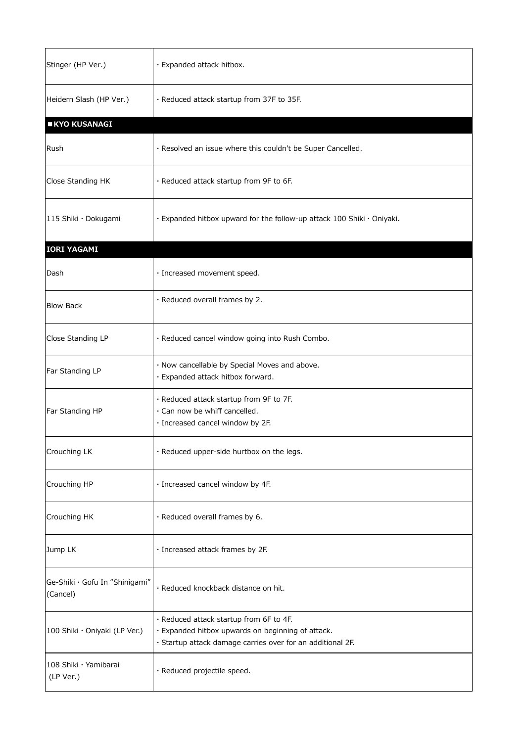| Stinger (HP Ver.)                          | · Expanded attack hitbox.                                                                                                                                  |
|--------------------------------------------|------------------------------------------------------------------------------------------------------------------------------------------------------------|
| Heidern Slash (HP Ver.)                    | . Reduced attack startup from 37F to 35F.                                                                                                                  |
| <b>KYO KUSANAGI</b>                        |                                                                                                                                                            |
| Rush                                       | · Resolved an issue where this couldn't be Super Cancelled.                                                                                                |
| Close Standing HK                          | · Reduced attack startup from 9F to 6F.                                                                                                                    |
| 115 Shiki · Dokugami                       | · Expanded hitbox upward for the follow-up attack 100 Shiki · Oniyaki.                                                                                     |
| <b>IORI YAGAMI</b>                         |                                                                                                                                                            |
| Dash                                       | · Increased movement speed.                                                                                                                                |
| <b>Blow Back</b>                           | · Reduced overall frames by 2.                                                                                                                             |
| Close Standing LP                          | · Reduced cancel window going into Rush Combo.                                                                                                             |
| Far Standing LP                            | · Now cancellable by Special Moves and above.<br>· Expanded attack hitbox forward.                                                                         |
| Far Standing HP                            | · Reduced attack startup from 9F to 7F.<br>· Can now be whiff cancelled.<br>· Increased cancel window by 2F.                                               |
| Crouching LK                               | · Reduced upper-side hurtbox on the legs.                                                                                                                  |
| Crouching HP                               | · Increased cancel window by 4F.                                                                                                                           |
| Crouching HK                               | · Reduced overall frames by 6.                                                                                                                             |
| Jump LK                                    | · Increased attack frames by 2F.                                                                                                                           |
| Ge-Shiki · Gofu In "Shinigami"<br>(Cancel) | · Reduced knockback distance on hit.                                                                                                                       |
| 100 Shiki · Oniyaki (LP Ver.)              | · Reduced attack startup from 6F to 4F.<br>· Expanded hitbox upwards on beginning of attack.<br>· Startup attack damage carries over for an additional 2F. |
| 108 Shiki · Yamibarai<br>(LP Ver.)         | · Reduced projectile speed.                                                                                                                                |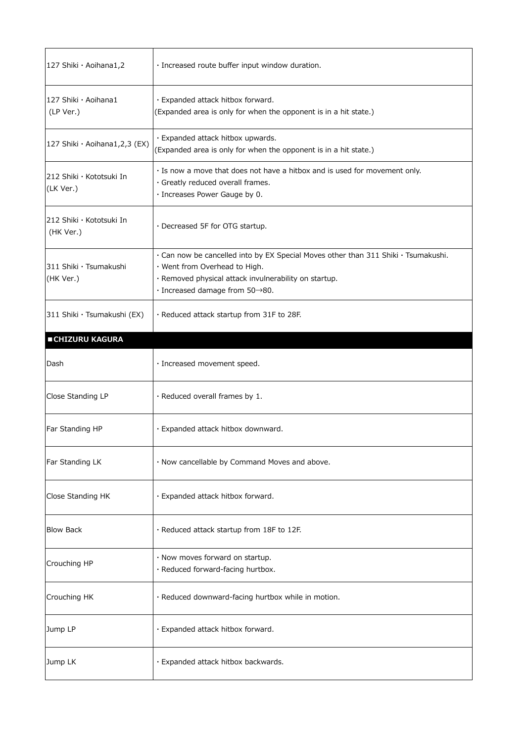| 127 Shiki · Aoihana1,2                | · Increased route buffer input window duration.                                                                                                                                                                                    |
|---------------------------------------|------------------------------------------------------------------------------------------------------------------------------------------------------------------------------------------------------------------------------------|
| 127 Shiki · Aoihana1<br>(LP Ver.)     | · Expanded attack hitbox forward.<br>(Expanded area is only for when the opponent is in a hit state.)                                                                                                                              |
| 127 Shiki · Aoihana1,2,3 (EX)         | · Expanded attack hitbox upwards.<br>(Expanded area is only for when the opponent is in a hit state.)                                                                                                                              |
| 212 Shiki · Kototsuki In<br>(LK Ver.) | . Is now a move that does not have a hitbox and is used for movement only.<br>· Greatly reduced overall frames.<br>· Increases Power Gauge by 0.                                                                                   |
| 212 Shiki · Kototsuki In<br>(HK Ver.) | · Decreased 5F for OTG startup.                                                                                                                                                                                                    |
| 311 Shiki · Tsumakushi<br>(HK Ver.)   | · Can now be cancelled into by EX Special Moves other than 311 Shiki · Tsumakushi.<br>· Went from Overhead to High.<br>· Removed physical attack invulnerability on startup.<br>$\cdot$ Increased damage from 50 $\rightarrow$ 80. |
| 311 Shiki · Tsumakushi (EX)           | . Reduced attack startup from 31F to 28F.                                                                                                                                                                                          |
| <b>CHIZURU KAGURA</b>                 |                                                                                                                                                                                                                                    |
| Dash                                  | · Increased movement speed.                                                                                                                                                                                                        |
| Close Standing LP                     | $\cdot$ Reduced overall frames by 1.                                                                                                                                                                                               |
| Far Standing HP                       | · Expanded attack hitbox downward.                                                                                                                                                                                                 |
| Far Standing LK                       | · Now cancellable by Command Moves and above.                                                                                                                                                                                      |
| Close Standing HK                     | · Expanded attack hitbox forward.                                                                                                                                                                                                  |
| <b>Blow Back</b>                      | · Reduced attack startup from 18F to 12F.                                                                                                                                                                                          |
| Crouching HP                          | · Now moves forward on startup.<br>· Reduced forward-facing hurtbox.                                                                                                                                                               |
| Crouching HK                          | · Reduced downward-facing hurtbox while in motion.                                                                                                                                                                                 |
| Jump LP                               | · Expanded attack hitbox forward.                                                                                                                                                                                                  |
| Jump LK                               | · Expanded attack hitbox backwards.                                                                                                                                                                                                |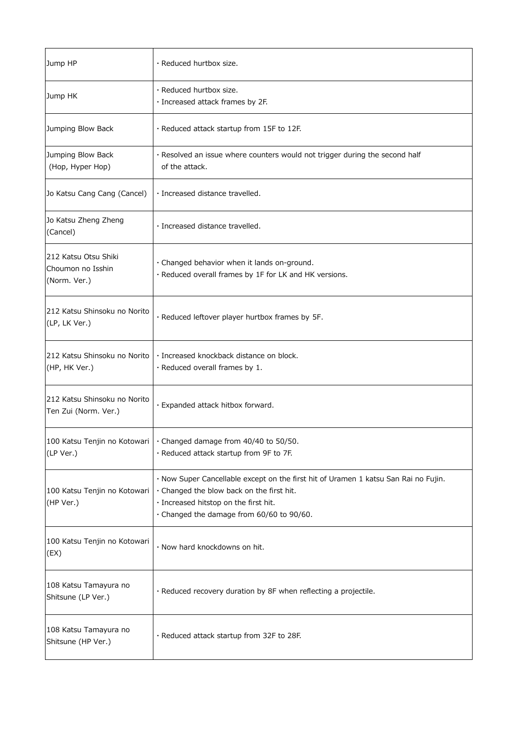| Jump HP                                                   | · Reduced hurtbox size.                                                                                                                                                                                                |
|-----------------------------------------------------------|------------------------------------------------------------------------------------------------------------------------------------------------------------------------------------------------------------------------|
| Jump HK                                                   | $\cdot$ Reduced hurtbox size.<br>· Increased attack frames by 2F.                                                                                                                                                      |
| Jumping Blow Back                                         | · Reduced attack startup from 15F to 12F.                                                                                                                                                                              |
| Jumping Blow Back<br>(Hop, Hyper Hop)                     | · Resolved an issue where counters would not trigger during the second half<br>of the attack.                                                                                                                          |
| Jo Katsu Cang Cang (Cancel)                               | · Increased distance travelled.                                                                                                                                                                                        |
| Jo Katsu Zheng Zheng<br>(Cancel)                          | · Increased distance travelled.                                                                                                                                                                                        |
| 212 Katsu Otsu Shiki<br>Choumon no Isshin<br>(Norm. Ver.) | · Changed behavior when it lands on-ground.<br>· Reduced overall frames by 1F for LK and HK versions.                                                                                                                  |
| 212 Katsu Shinsoku no Norito<br>(LP, LK Ver.)             | · Reduced leftover player hurtbox frames by 5F.                                                                                                                                                                        |
| 212 Katsu Shinsoku no Norito<br>(HP, HK Ver.)             | · Increased knockback distance on block.<br>$\cdot$ Reduced overall frames by 1.                                                                                                                                       |
| 212 Katsu Shinsoku no Norito<br>Ten Zui (Norm. Ver.)      | · Expanded attack hitbox forward.                                                                                                                                                                                      |
| (LP Ver.)                                                 | 100 Katsu Tenjin no Kotowari   · Changed damage from 40/40 to 50/50.<br>· Reduced attack startup from 9F to 7F.                                                                                                        |
| 100 Katsu Tenjin no Kotowari<br>(HP Ver.)                 | · Now Super Cancellable except on the first hit of Uramen 1 katsu San Rai no Fujin.<br>· Changed the blow back on the first hit.<br>· Increased hitstop on the first hit.<br>· Changed the damage from 60/60 to 90/60. |
| 100 Katsu Tenjin no Kotowari<br>(EX)                      | · Now hard knockdowns on hit.                                                                                                                                                                                          |
| 108 Katsu Tamayura no<br>Shitsune (LP Ver.)               | · Reduced recovery duration by 8F when reflecting a projectile.                                                                                                                                                        |
| 108 Katsu Tamayura no<br>Shitsune (HP Ver.)               | · Reduced attack startup from 32F to 28F.                                                                                                                                                                              |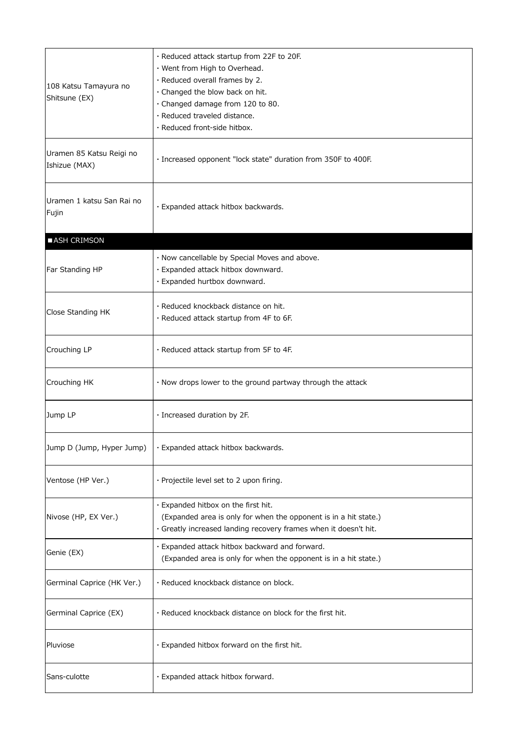| 108 Katsu Tamayura no<br>Shitsune (EX)    | · Reduced attack startup from 22F to 20F.<br>· Went from High to Overhead.<br>· Reduced overall frames by 2.<br>· Changed the blow back on hit.<br>· Changed damage from 120 to 80.<br>· Reduced traveled distance.<br>· Reduced front-side hitbox. |
|-------------------------------------------|-----------------------------------------------------------------------------------------------------------------------------------------------------------------------------------------------------------------------------------------------------|
| Uramen 85 Katsu Reigi no<br>Ishizue (MAX) | · Increased opponent "lock state" duration from 350F to 400F.                                                                                                                                                                                       |
| Uramen 1 katsu San Rai no<br>Fujin        | · Expanded attack hitbox backwards.                                                                                                                                                                                                                 |
| ASH CRIMSON                               |                                                                                                                                                                                                                                                     |
| Far Standing HP                           | · Now cancellable by Special Moves and above.<br>· Expanded attack hitbox downward.<br>· Expanded hurtbox downward.                                                                                                                                 |
| Close Standing HK                         | · Reduced knockback distance on hit.<br>· Reduced attack startup from 4F to 6F.                                                                                                                                                                     |
| Crouching LP                              | · Reduced attack startup from 5F to 4F.                                                                                                                                                                                                             |
| Crouching HK                              | . Now drops lower to the ground partway through the attack                                                                                                                                                                                          |
| Jump LP                                   | $\cdot$ Increased duration by 2F.                                                                                                                                                                                                                   |
| Jump D (Jump, Hyper Jump)                 | · Expanded attack hitbox backwards.                                                                                                                                                                                                                 |
| Ventose (HP Ver.)                         | · Projectile level set to 2 upon firing.                                                                                                                                                                                                            |
| Nivose (HP, EX Ver.)                      | · Expanded hitbox on the first hit.<br>(Expanded area is only for when the opponent is in a hit state.)<br>· Greatly increased landing recovery frames when it doesn't hit.                                                                         |
| Genie (EX)                                | · Expanded attack hitbox backward and forward.<br>(Expanded area is only for when the opponent is in a hit state.)                                                                                                                                  |
| Germinal Caprice (HK Ver.)                | · Reduced knockback distance on block.                                                                                                                                                                                                              |
| Germinal Caprice (EX)                     | . Reduced knockback distance on block for the first hit.                                                                                                                                                                                            |
| Pluviose                                  | · Expanded hitbox forward on the first hit.                                                                                                                                                                                                         |
| Sans-culotte                              | · Expanded attack hitbox forward.                                                                                                                                                                                                                   |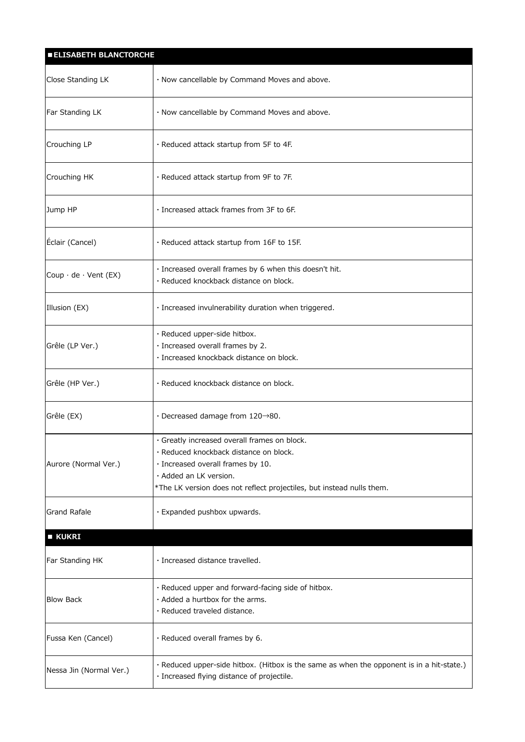| <b>ELISABETH BLANCTORCHE</b>              |                                                                                                                                         |
|-------------------------------------------|-----------------------------------------------------------------------------------------------------------------------------------------|
| Close Standing LK                         | · Now cancellable by Command Moves and above.                                                                                           |
| <b>Far Standing LK</b>                    | · Now cancellable by Command Moves and above.                                                                                           |
| Crouching LP                              | · Reduced attack startup from 5F to 4F.                                                                                                 |
| Crouching HK                              | · Reduced attack startup from 9F to 7F.                                                                                                 |
| Jump HP                                   | · Increased attack frames from 3F to 6F.                                                                                                |
| Éclair (Cancel)                           | $\cdot$ Reduced attack startup from 16F to 15F.                                                                                         |
| $\vert$ Coup $\cdot$ de $\cdot$ Vent (EX) | · Increased overall frames by 6 when this doesn't hit.<br>· Reduced knockback distance on block.                                        |
| Illusion (EX)                             | · Increased invulnerability duration when triggered.                                                                                    |
| Grêle (LP Ver.)                           | · Reduced upper-side hitbox.<br>· Increased overall frames by 2.<br>· Increased knockback distance on block.                            |
| Grêle (HP Ver.)                           | · Reduced knockback distance on block.                                                                                                  |
| Grêle (EX)                                | $\cdot$ Decreased damage from 120 $\rightarrow$ 80.                                                                                     |
|                                           | · Greatly increased overall frames on block.                                                                                            |
|                                           | · Reduced knockback distance on block.                                                                                                  |
| Aurore (Normal Ver.)                      | $\cdot$ Increased overall frames by 10.                                                                                                 |
|                                           | · Added an LK version.<br>*The LK version does not reflect projectiles, but instead nulls them.                                         |
|                                           |                                                                                                                                         |
| <b>Grand Rafale</b>                       | · Expanded pushbox upwards.                                                                                                             |
| $\blacksquare$ KUKRI                      |                                                                                                                                         |
| Far Standing HK                           | · Increased distance travelled.                                                                                                         |
| <b>Blow Back</b>                          | · Reduced upper and forward-facing side of hitbox.<br>· Added a hurtbox for the arms.<br>· Reduced traveled distance.                   |
| Fussa Ken (Cancel)                        | · Reduced overall frames by 6.                                                                                                          |
| Nessa Jin (Normal Ver.)                   | · Reduced upper-side hitbox. (Hitbox is the same as when the opponent is in a hit-state.)<br>· Increased flying distance of projectile. |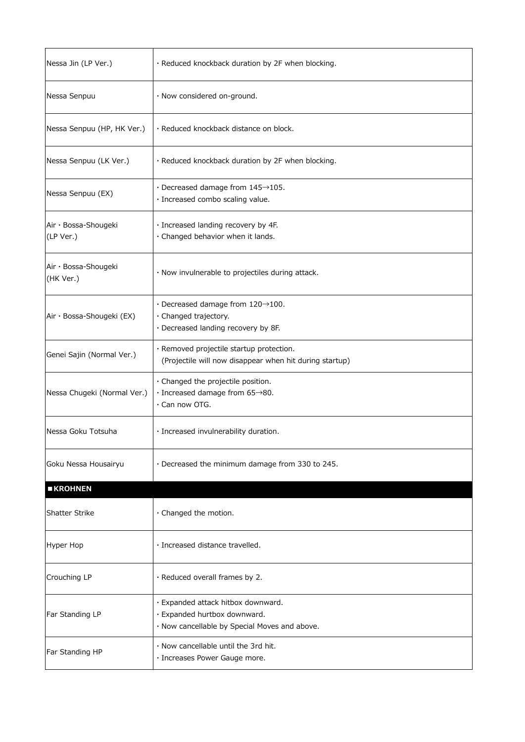| Nessa Jin (LP Ver.)               | · Reduced knockback duration by 2F when blocking.                                                                    |
|-----------------------------------|----------------------------------------------------------------------------------------------------------------------|
| Nessa Senpuu                      | · Now considered on-ground.                                                                                          |
| Nessa Senpuu (HP, HK Ver.)        | · Reduced knockback distance on block.                                                                               |
| Nessa Senpuu (LK Ver.)            | · Reduced knockback duration by 2F when blocking.                                                                    |
| Nessa Senpuu (EX)                 | $\cdot$ Decreased damage from 145 $\rightarrow$ 105.<br>· Increased combo scaling value.                             |
| Air · Bossa-Shougeki<br>(LP Ver.) | · Increased landing recovery by 4F.<br>· Changed behavior when it lands.                                             |
| Air · Bossa-Shougeki<br>(HK Ver.) | · Now invulnerable to projectiles during attack.                                                                     |
| Air · Bossa-Shougeki (EX)         | $\cdot$ Decreased damage from 120 $\rightarrow$ 100.<br>· Changed trajectory.<br>· Decreased landing recovery by 8F. |
| Genei Sajin (Normal Ver.)         | · Removed projectile startup protection.<br>(Projectile will now disappear when hit during startup)                  |
| Nessa Chugeki (Normal Ver.)       | · Changed the projectile position.<br>$\cdot$ Increased damage from 65 $\rightarrow$ 80.<br>$\cdot$ Can now OTG.     |
| Nessa Goku Totsuha                | · Increased invulnerability duration.                                                                                |
| Goku Nessa Housairyu              | . Decreased the minimum damage from 330 to 245.                                                                      |
| <b>EXROHNEN</b>                   |                                                                                                                      |
| <b>Shatter Strike</b>             | · Changed the motion.                                                                                                |
| Hyper Hop                         | · Increased distance travelled.                                                                                      |
| Crouching LP                      | · Reduced overall frames by 2.                                                                                       |
| Far Standing LP                   | · Expanded attack hitbox downward.<br>· Expanded hurtbox downward.<br>· Now cancellable by Special Moves and above.  |
| Far Standing HP                   | . Now cancellable until the 3rd hit.<br>· Increases Power Gauge more.                                                |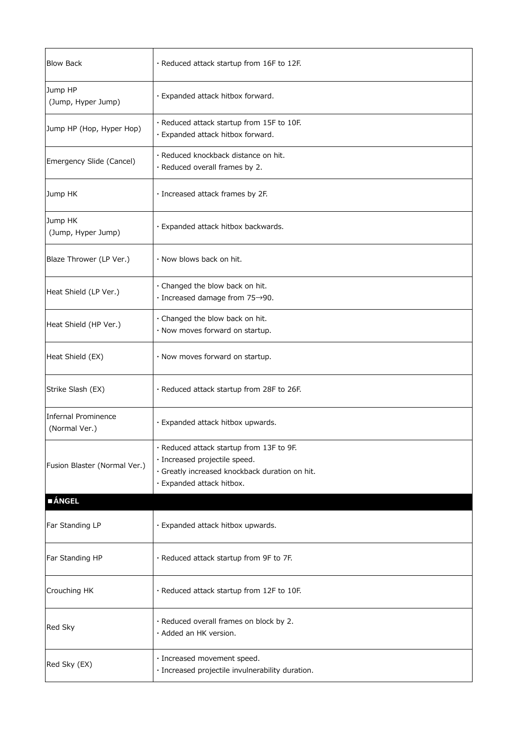| <b>Blow Back</b>                            | · Reduced attack startup from 16F to 12F.                                                                                                                |
|---------------------------------------------|----------------------------------------------------------------------------------------------------------------------------------------------------------|
| Jump HP<br>(Jump, Hyper Jump)               | · Expanded attack hitbox forward.                                                                                                                        |
| Jump HP (Hop, Hyper Hop)                    | · Reduced attack startup from 15F to 10F.<br>· Expanded attack hitbox forward.                                                                           |
| Emergency Slide (Cancel)                    | · Reduced knockback distance on hit.<br>· Reduced overall frames by 2.                                                                                   |
| Jump HK                                     | · Increased attack frames by 2F.                                                                                                                         |
| Jump HK<br>(Jump, Hyper Jump)               | · Expanded attack hitbox backwards.                                                                                                                      |
| Blaze Thrower (LP Ver.)                     | . Now blows back on hit.                                                                                                                                 |
| Heat Shield (LP Ver.)                       | · Changed the blow back on hit.<br>$\cdot$ Increased damage from 75 $\rightarrow$ 90.                                                                    |
| Heat Shield (HP Ver.)                       | · Changed the blow back on hit.<br>· Now moves forward on startup.                                                                                       |
| Heat Shield (EX)                            | · Now moves forward on startup.                                                                                                                          |
| Strike Slash (EX)                           | · Reduced attack startup from 28F to 26F.                                                                                                                |
| <b>Infernal Prominence</b><br>(Normal Ver.) | · Expanded attack hitbox upwards.                                                                                                                        |
| Fusion Blaster (Normal Ver.)                | · Reduced attack startup from 13F to 9F.<br>· Increased projectile speed.<br>· Greatly increased knockback duration on hit.<br>· Expanded attack hitbox. |
| <b>ANGEL</b>                                |                                                                                                                                                          |
| Far Standing LP                             | · Expanded attack hitbox upwards.                                                                                                                        |
| Far Standing HP                             | · Reduced attack startup from 9F to 7F.                                                                                                                  |
| Crouching HK                                | · Reduced attack startup from 12F to 10F.                                                                                                                |
| Red Sky                                     | · Reduced overall frames on block by 2.<br>· Added an HK version.                                                                                        |
| Red Sky (EX)                                | · Increased movement speed.<br>· Increased projectile invulnerability duration.                                                                          |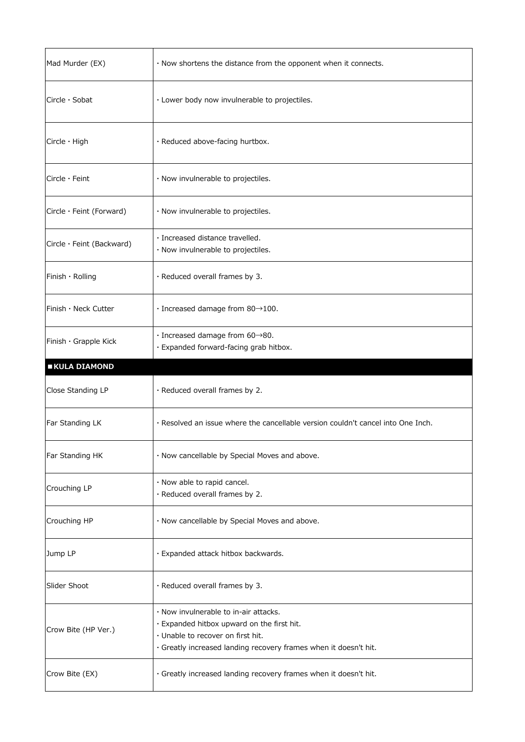| Mad Murder (EX)                 | · Now shortens the distance from the opponent when it connects.                                                                                                                              |
|---------------------------------|----------------------------------------------------------------------------------------------------------------------------------------------------------------------------------------------|
| Circle $\cdot$ Sobat            | · Lower body now invulnerable to projectiles.                                                                                                                                                |
| $Circle \cdot High$             | · Reduced above-facing hurtbox.                                                                                                                                                              |
| $Circle \cdot Feint$            | · Now invulnerable to projectiles.                                                                                                                                                           |
| Circle $\cdot$ Feint (Forward)  | · Now invulnerable to projectiles.                                                                                                                                                           |
| Circle $\cdot$ Feint (Backward) | · Increased distance travelled.<br>· Now invulnerable to projectiles.                                                                                                                        |
| Finish $\cdot$ Rolling          | · Reduced overall frames by 3.                                                                                                                                                               |
| Finish $\cdot$ Neck Cutter      | $\cdot$ Increased damage from 80 $\rightarrow$ 100.                                                                                                                                          |
| Finish $\cdot$ Grapple Kick     | $\cdot$ Increased damage from 60 $\rightarrow$ 80.<br>· Expanded forward-facing grab hitbox.                                                                                                 |
| <b>EXULA DIAMOND</b>            |                                                                                                                                                                                              |
|                                 |                                                                                                                                                                                              |
| Close Standing LP               | · Reduced overall frames by 2.                                                                                                                                                               |
| Far Standing LK                 | . Resolved an issue where the cancellable version couldn't cancel into One Inch.                                                                                                             |
| Far Standing HK                 | · Now cancellable by Special Moves and above.                                                                                                                                                |
| Crouching LP                    | · Now able to rapid cancel.<br>· Reduced overall frames by 2.                                                                                                                                |
| Crouching HP                    | · Now cancellable by Special Moves and above.                                                                                                                                                |
| Jump LP                         | · Expanded attack hitbox backwards.                                                                                                                                                          |
| Slider Shoot                    | · Reduced overall frames by 3.                                                                                                                                                               |
| Crow Bite (HP Ver.)             | · Now invulnerable to in-air attacks.<br>· Expanded hitbox upward on the first hit.<br>· Unable to recover on first hit.<br>· Greatly increased landing recovery frames when it doesn't hit. |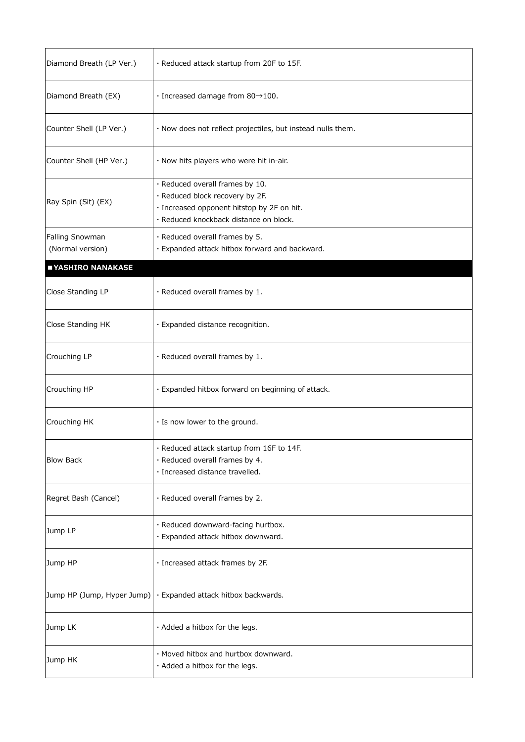| Diamond Breath (LP Ver.)            | · Reduced attack startup from 20F to 15F.                                                                                                                  |
|-------------------------------------|------------------------------------------------------------------------------------------------------------------------------------------------------------|
| Diamond Breath (EX)                 | $\cdot$ Increased damage from 80 $\rightarrow$ 100.                                                                                                        |
| Counter Shell (LP Ver.)             | · Now does not reflect projectiles, but instead nulls them.                                                                                                |
| Counter Shell (HP Ver.)             | · Now hits players who were hit in-air.                                                                                                                    |
| Ray Spin (Sit) (EX)                 | · Reduced overall frames by 10.<br>· Reduced block recovery by 2F.<br>· Increased opponent hitstop by 2F on hit.<br>· Reduced knockback distance on block. |
| Falling Snowman<br>(Normal version) | · Reduced overall frames by 5.<br>· Expanded attack hitbox forward and backward.                                                                           |
| YASHIRO NANAKASE                    |                                                                                                                                                            |
| Close Standing LP                   | · Reduced overall frames by 1.                                                                                                                             |
| Close Standing HK                   | · Expanded distance recognition.                                                                                                                           |
| Crouching LP                        | · Reduced overall frames by 1.                                                                                                                             |
| Crouching HP                        | · Expanded hitbox forward on beginning of attack.                                                                                                          |
| Crouching HK                        | · Is now lower to the ground.                                                                                                                              |
| <b>Blow Back</b>                    | · Reduced attack startup from 16F to 14F.<br>· Reduced overall frames by 4.<br>· Increased distance travelled.                                             |
| Regret Bash (Cancel)                | · Reduced overall frames by 2.                                                                                                                             |
| Jump LP                             | · Reduced downward-facing hurtbox.<br>· Expanded attack hitbox downward.                                                                                   |
| Jump HP                             | · Increased attack frames by 2F.                                                                                                                           |
| Jump HP (Jump, Hyper Jump)          | · Expanded attack hitbox backwards.                                                                                                                        |
| Jump LK                             | · Added a hitbox for the legs.                                                                                                                             |
| Jump HK                             | · Moved hitbox and hurtbox downward.<br>· Added a hitbox for the legs.                                                                                     |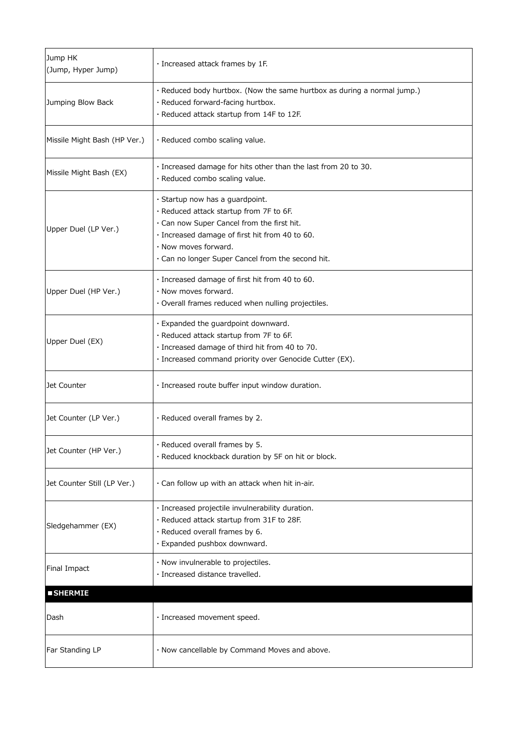| Jump HK<br>(Jump, Hyper Jump) | · Increased attack frames by 1F.                                                                                                                                                                                                                        |
|-------------------------------|---------------------------------------------------------------------------------------------------------------------------------------------------------------------------------------------------------------------------------------------------------|
| Jumping Blow Back             | · Reduced body hurtbox. (Now the same hurtbox as during a normal jump.)<br>· Reduced forward-facing hurtbox.<br>· Reduced attack startup from 14F to 12F.                                                                                               |
| Missile Might Bash (HP Ver.)  | · Reduced combo scaling value.                                                                                                                                                                                                                          |
| Missile Might Bash (EX)       | · Increased damage for hits other than the last from 20 to 30.<br>· Reduced combo scaling value.                                                                                                                                                        |
| Upper Duel (LP Ver.)          | · Startup now has a guardpoint.<br>· Reduced attack startup from 7F to 6F.<br>· Can now Super Cancel from the first hit.<br>· Increased damage of first hit from 40 to 60.<br>. Now moves forward.<br>. Can no longer Super Cancel from the second hit. |
| Upper Duel (HP Ver.)          | · Increased damage of first hit from 40 to 60.<br>· Now moves forward.<br>· Overall frames reduced when nulling projectiles.                                                                                                                            |
| Upper Duel (EX)               | · Expanded the guardpoint downward.<br>· Reduced attack startup from 7F to 6F.<br>· Increased damage of third hit from 40 to 70.<br>· Increased command priority over Genocide Cutter (EX).                                                             |
| Jet Counter                   | · Increased route buffer input window duration.                                                                                                                                                                                                         |
| Jet Counter (LP Ver.)         | · Reduced overall frames by 2.                                                                                                                                                                                                                          |
| Jet Counter (HP Ver.)         | · Reduced overall frames by 5.<br>· Reduced knockback duration by 5F on hit or block.                                                                                                                                                                   |
| Jet Counter Still (LP Ver.)   | · Can follow up with an attack when hit in-air.                                                                                                                                                                                                         |
| Sledgehammer (EX)             | · Increased projectile invulnerability duration.<br>· Reduced attack startup from 31F to 28F.<br>· Reduced overall frames by 6.<br>· Expanded pushbox downward.                                                                                         |
| Final Impact                  | · Now invulnerable to projectiles.<br>· Increased distance travelled.                                                                                                                                                                                   |
| <b>SHERMIE</b>                |                                                                                                                                                                                                                                                         |
| Dash                          | · Increased movement speed.                                                                                                                                                                                                                             |
| Far Standing LP               | · Now cancellable by Command Moves and above.                                                                                                                                                                                                           |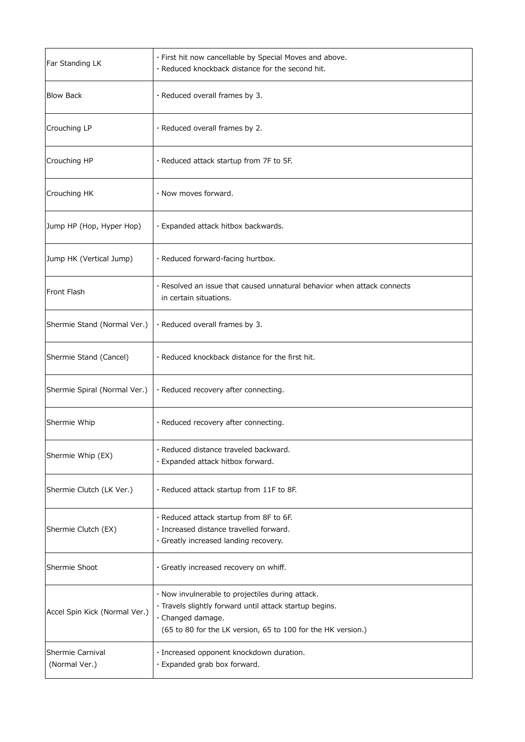| Far Standing LK                   | · First hit now cancellable by Special Moves and above.<br>· Reduced knockback distance for the second hit.                                                                                      |
|-----------------------------------|--------------------------------------------------------------------------------------------------------------------------------------------------------------------------------------------------|
| <b>Blow Back</b>                  | · Reduced overall frames by 3.                                                                                                                                                                   |
| Crouching LP                      | $\cdot$ Reduced overall frames by 2.                                                                                                                                                             |
| Crouching HP                      | $\cdot$ Reduced attack startup from 7F to 5F.                                                                                                                                                    |
| Crouching HK                      | $\cdot$ Now moves forward.                                                                                                                                                                       |
| Jump HP (Hop, Hyper Hop)          | · Expanded attack hitbox backwards.                                                                                                                                                              |
| Jump HK (Vertical Jump)           | · Reduced forward-facing hurtbox.                                                                                                                                                                |
| Front Flash                       | . Resolved an issue that caused unnatural behavior when attack connects<br>in certain situations.                                                                                                |
| Shermie Stand (Normal Ver.)       | · Reduced overall frames by 3.                                                                                                                                                                   |
| Shermie Stand (Cancel)            | . Reduced knockback distance for the first hit.                                                                                                                                                  |
| Shermie Spiral (Normal Ver.)      | · Reduced recovery after connecting.                                                                                                                                                             |
| Shermie Whip                      | · Reduced recovery after connecting.                                                                                                                                                             |
| Shermie Whip (EX)                 | · Reduced distance traveled backward.<br>· Expanded attack hitbox forward.                                                                                                                       |
| Shermie Clutch (LK Ver.)          | $\cdot$ Reduced attack startup from 11F to 8F.                                                                                                                                                   |
| Shermie Clutch (EX)               | · Reduced attack startup from 8F to 6F.<br>· Increased distance travelled forward.<br>· Greatly increased landing recovery.                                                                      |
| Shermie Shoot                     | · Greatly increased recovery on whiff.                                                                                                                                                           |
| Accel Spin Kick (Normal Ver.)     | . Now invulnerable to projectiles during attack.<br>· Travels slightly forward until attack startup begins.<br>· Changed damage.<br>(65 to 80 for the LK version, 65 to 100 for the HK version.) |
| Shermie Carnival<br>(Normal Ver.) | · Increased opponent knockdown duration.<br>· Expanded grab box forward.                                                                                                                         |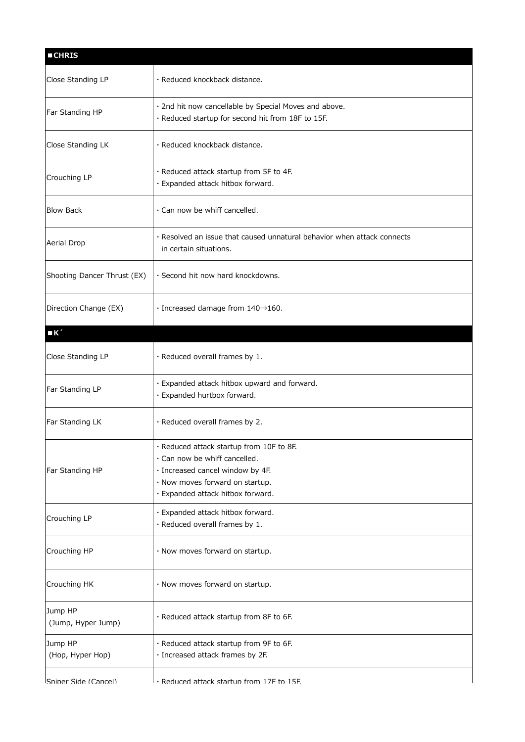| <b>CHRIS</b>                  |                                                                                                                                                                                       |
|-------------------------------|---------------------------------------------------------------------------------------------------------------------------------------------------------------------------------------|
| Close Standing LP             | · Reduced knockback distance.                                                                                                                                                         |
| Far Standing HP               | · 2nd hit now cancellable by Special Moves and above.<br>· Reduced startup for second hit from 18F to 15F.                                                                            |
| Close Standing LK             | · Reduced knockback distance.                                                                                                                                                         |
| Crouching LP                  | · Reduced attack startup from 5F to 4F.<br>· Expanded attack hitbox forward.                                                                                                          |
| <b>Blow Back</b>              | · Can now be whiff cancelled.                                                                                                                                                         |
| Aerial Drop                   | . Resolved an issue that caused unnatural behavior when attack connects<br>in certain situations.                                                                                     |
| Shooting Dancer Thrust (EX)   | · Second hit now hard knockdowns.                                                                                                                                                     |
| Direction Change (EX)         | $\cdot$ Increased damage from 140 $\rightarrow$ 160.                                                                                                                                  |
| $\blacksquare$                |                                                                                                                                                                                       |
| Close Standing LP             | $\cdot$ Reduced overall frames by 1.                                                                                                                                                  |
| Far Standing LP               | · Expanded attack hitbox upward and forward.<br>· Expanded hurtbox forward.                                                                                                           |
| Far Standing LK               | · Reduced overall frames by 2.                                                                                                                                                        |
| Far Standing HP               | · Reduced attack startup from 10F to 8F.<br>· Can now be whiff cancelled.<br>· Increased cancel window by 4F.<br>· Now moves forward on startup.<br>· Expanded attack hitbox forward. |
| Crouching LP                  | · Expanded attack hitbox forward.<br>· Reduced overall frames by 1.                                                                                                                   |
| Crouching HP                  | · Now moves forward on startup.                                                                                                                                                       |
| Crouching HK                  | · Now moves forward on startup.                                                                                                                                                       |
| Jump HP<br>(Jump, Hyper Jump) | · Reduced attack startup from 8F to 6F.                                                                                                                                               |
| Jump HP<br>(Hop, Hyper Hop)   | · Reduced attack startup from 9F to 6F.<br>· Increased attack frames by 2F.                                                                                                           |
| Sniner Side (Cancel)          | . Reduced attack startun from 17F to 15F                                                                                                                                              |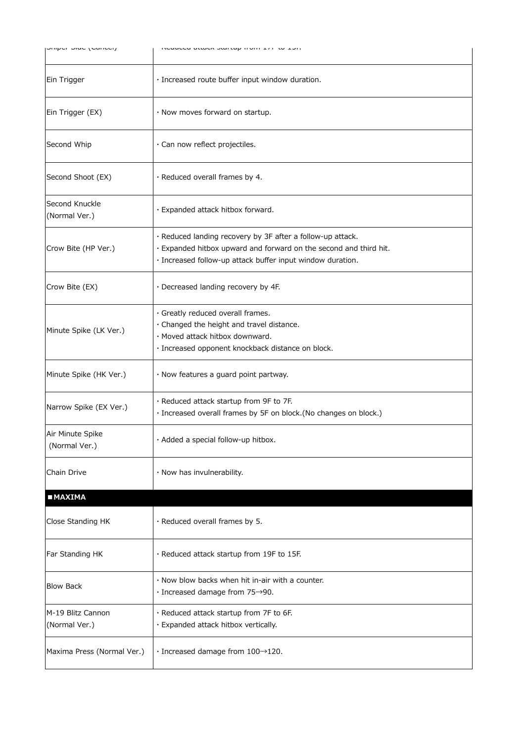| הייון היישה (הייוניה)              |                                                                                                                                                                                               |
|------------------------------------|-----------------------------------------------------------------------------------------------------------------------------------------------------------------------------------------------|
| Ein Trigger                        | · Increased route buffer input window duration.                                                                                                                                               |
| Ein Trigger (EX)                   | · Now moves forward on startup.                                                                                                                                                               |
| Second Whip                        | · Can now reflect projectiles.                                                                                                                                                                |
| Second Shoot (EX)                  | · Reduced overall frames by 4.                                                                                                                                                                |
| Second Knuckle<br>(Normal Ver.)    | · Expanded attack hitbox forward.                                                                                                                                                             |
| Crow Bite (HP Ver.)                | · Reduced landing recovery by 3F after a follow-up attack.<br>· Expanded hitbox upward and forward on the second and third hit.<br>· Increased follow-up attack buffer input window duration. |
| Crow Bite (EX)                     | · Decreased landing recovery by 4F.                                                                                                                                                           |
| Minute Spike (LK Ver.)             | · Greatly reduced overall frames.<br>· Changed the height and travel distance.<br>· Moved attack hitbox downward.<br>· Increased opponent knockback distance on block.                        |
| Minute Spike (HK Ver.)             | · Now features a guard point partway.                                                                                                                                                         |
| Narrow Spike (EX Ver.)             | · Reduced attack startup from 9F to 7F.<br>· Increased overall frames by 5F on block.(No changes on block.)                                                                                   |
| Air Minute Spike<br>(Normal Ver.)  | · Added a special follow-up hitbox.                                                                                                                                                           |
| Chain Drive                        | · Now has invulnerability.                                                                                                                                                                    |
| <b>MAXIMA</b>                      |                                                                                                                                                                                               |
| Close Standing HK                  | · Reduced overall frames by 5.                                                                                                                                                                |
| Far Standing HK                    | · Reduced attack startup from 19F to 15F.                                                                                                                                                     |
| <b>Blow Back</b>                   | $\cdot$ Now blow backs when hit in-air with a counter.<br>$\cdot$ Increased damage from 75 $\rightarrow$ 90.                                                                                  |
| M-19 Blitz Cannon<br>(Normal Ver.) | · Reduced attack startup from 7F to 6F.<br>· Expanded attack hitbox vertically.                                                                                                               |
| Maxima Press (Normal Ver.)         | $\cdot$ Increased damage from 100 $\rightarrow$ 120.                                                                                                                                          |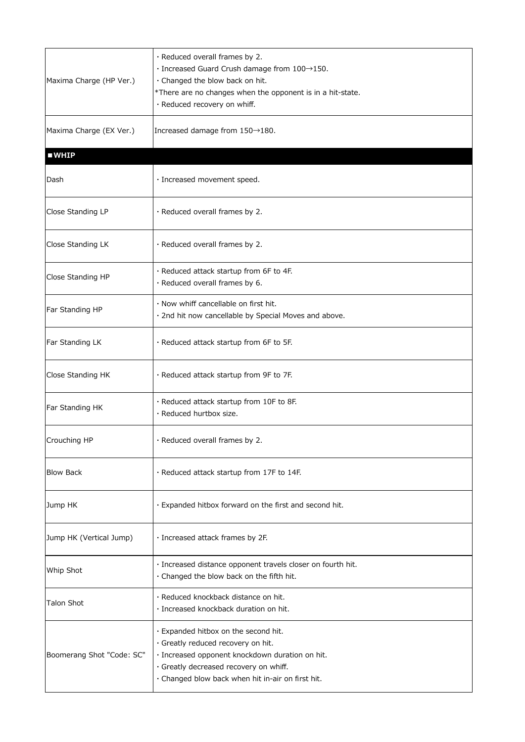| Maxima Charge (HP Ver.)   | · Reduced overall frames by 2.<br>$\cdot$ Increased Guard Crush damage from 100 $\rightarrow$ 150.<br>· Changed the blow back on hit.<br>*There are no changes when the opponent is in a hit-state.<br>· Reduced recovery on whiff. |
|---------------------------|-------------------------------------------------------------------------------------------------------------------------------------------------------------------------------------------------------------------------------------|
| Maxima Charge (EX Ver.)   | Increased damage from 150→180.                                                                                                                                                                                                      |
| WHP                       |                                                                                                                                                                                                                                     |
| Dash                      | · Increased movement speed.                                                                                                                                                                                                         |
| Close Standing LP         | · Reduced overall frames by 2.                                                                                                                                                                                                      |
| Close Standing LK         | · Reduced overall frames by 2.                                                                                                                                                                                                      |
| Close Standing HP         | · Reduced attack startup from 6F to 4F.<br>· Reduced overall frames by 6.                                                                                                                                                           |
| Far Standing HP           | · Now whiff cancellable on first hit.<br>· 2nd hit now cancellable by Special Moves and above.                                                                                                                                      |
| Far Standing LK           | · Reduced attack startup from 6F to 5F.                                                                                                                                                                                             |
| Close Standing HK         | · Reduced attack startup from 9F to 7F.                                                                                                                                                                                             |
| Far Standing HK           | · Reduced attack startup from 10F to 8F.<br>· Reduced hurtbox size.                                                                                                                                                                 |
| Crouching HP              | $\cdot$ Reduced overall frames by 2                                                                                                                                                                                                 |
| <b>Blow Back</b>          | · Reduced attack startup from 17F to 14F.                                                                                                                                                                                           |
| Jump HK                   | · Expanded hitbox forward on the first and second hit.                                                                                                                                                                              |
| Jump HK (Vertical Jump)   | · Increased attack frames by 2F.                                                                                                                                                                                                    |
| Whip Shot                 | · Increased distance opponent travels closer on fourth hit.<br>· Changed the blow back on the fifth hit.                                                                                                                            |
| <b>Talon Shot</b>         | · Reduced knockback distance on hit.<br>· Increased knockback duration on hit.                                                                                                                                                      |
| Boomerang Shot "Code: SC" | · Expanded hitbox on the second hit.<br>· Greatly reduced recovery on hit.<br>· Increased opponent knockdown duration on hit.<br>· Greatly decreased recovery on whiff.<br>· Changed blow back when hit in-air on first hit.        |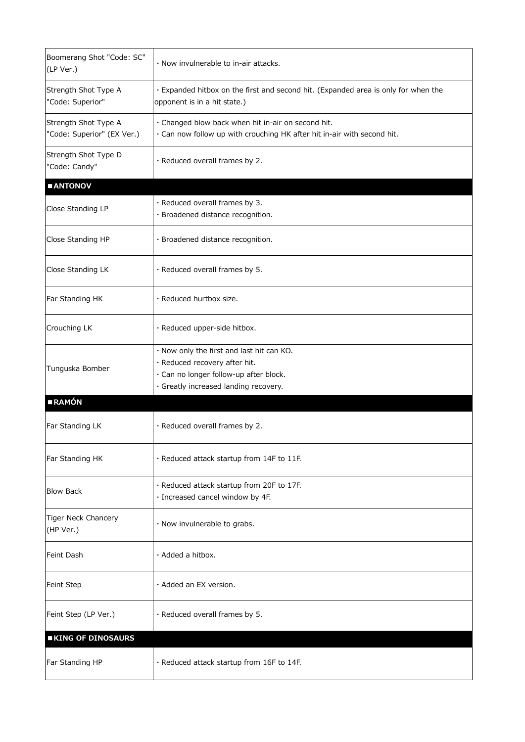| Boomerang Shot "Code: SC"<br>(LP Ver.)             | . Now invulnerable to in-air attacks.                                                                                                                         |
|----------------------------------------------------|---------------------------------------------------------------------------------------------------------------------------------------------------------------|
| Strength Shot Type A<br>"Code: Superior"           | · Expanded hitbox on the first and second hit. (Expanded area is only for when the<br>opponent is in a hit state.)                                            |
| Strength Shot Type A<br>"Code: Superior" (EX Ver.) | · Changed blow back when hit in-air on second hit.<br>· Can now follow up with crouching HK after hit in-air with second hit.                                 |
| Strength Shot Type D<br>"Code: Candy"              | · Reduced overall frames by 2.                                                                                                                                |
| <b>MANTONOV</b>                                    |                                                                                                                                                               |
| Close Standing LP                                  | · Reduced overall frames by 3.<br>· Broadened distance recognition.                                                                                           |
| Close Standing HP                                  | · Broadened distance recognition.                                                                                                                             |
| Close Standing LK                                  | · Reduced overall frames by 5.                                                                                                                                |
| Far Standing HK                                    | · Reduced hurtbox size.                                                                                                                                       |
| Crouching LK                                       | · Reduced upper-side hitbox.                                                                                                                                  |
| Tunguska Bomber                                    | · Now only the first and last hit can KO.<br>· Reduced recovery after hit.<br>· Can no longer follow-up after block.<br>· Greatly increased landing recovery. |
| <b>RAMÓN</b>                                       |                                                                                                                                                               |
| Far Standing LK                                    | · Reduced overall frames by 2.                                                                                                                                |
| Far Standing HK                                    | $\cdot$ Reduced attack startup from 14F to 11F.                                                                                                               |
| <b>Blow Back</b>                                   | · Reduced attack startup from 20F to 17F.<br>· Increased cancel window by 4F.                                                                                 |
| Tiger Neck Chancery<br>(HP Ver.)                   | · Now invulnerable to grabs.                                                                                                                                  |
| Feint Dash                                         | $\cdot$ Added a hitbox.                                                                                                                                       |
| Feint Step                                         | · Added an EX version.                                                                                                                                        |
| Feint Step (LP Ver.)                               | · Reduced overall frames by 5.                                                                                                                                |
| <b>KING OF DINOSAURS</b>                           |                                                                                                                                                               |
| Far Standing HP                                    | · Reduced attack startup from 16F to 14F.                                                                                                                     |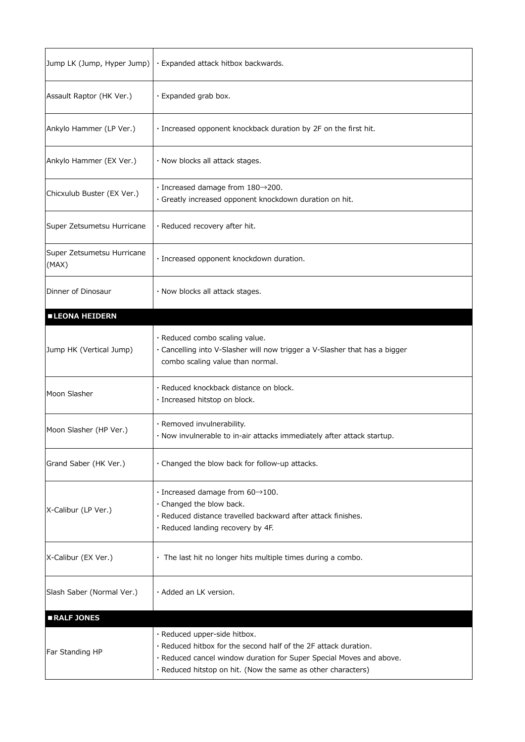| Jump LK (Jump, Hyper Jump)          | · Expanded attack hitbox backwards.                                                                                                                                                                                                    |
|-------------------------------------|----------------------------------------------------------------------------------------------------------------------------------------------------------------------------------------------------------------------------------------|
| Assault Raptor (HK Ver.)            | · Expanded grab box.                                                                                                                                                                                                                   |
| Ankylo Hammer (LP Ver.)             | · Increased opponent knockback duration by 2F on the first hit.                                                                                                                                                                        |
| Ankylo Hammer (EX Ver.)             | · Now blocks all attack stages.                                                                                                                                                                                                        |
| Chicxulub Buster (EX Ver.)          | $\cdot$ Increased damage from 180 $\rightarrow$ 200.<br>· Greatly increased opponent knockdown duration on hit.                                                                                                                        |
| Super Zetsumetsu Hurricane          | · Reduced recovery after hit.                                                                                                                                                                                                          |
| Super Zetsumetsu Hurricane<br>(MAX) | · Increased opponent knockdown duration.                                                                                                                                                                                               |
| Dinner of Dinosaur                  | · Now blocks all attack stages.                                                                                                                                                                                                        |
| <b>ELEONA HEIDERN</b>               |                                                                                                                                                                                                                                        |
| Jump HK (Vertical Jump)             | · Reduced combo scaling value.<br>· Cancelling into V-Slasher will now trigger a V-Slasher that has a bigger<br>combo scaling value than normal.                                                                                       |
| Moon Slasher                        | · Reduced knockback distance on block.<br>· Increased hitstop on block.                                                                                                                                                                |
| Moon Slasher (HP Ver.)              | · Removed invulnerability.<br>· Now invulnerable to in-air attacks immediately after attack startup.                                                                                                                                   |
| Grand Saber (HK Ver.)               | . Changed the blow back for follow-up attacks.                                                                                                                                                                                         |
| X-Calibur (LP Ver.)                 | $\cdot$ Increased damage from 60 $\rightarrow$ 100.<br>· Changed the blow back.<br>· Reduced distance travelled backward after attack finishes.<br>· Reduced landing recovery by 4F.                                                   |
| X-Calibur (EX Ver.)                 | · The last hit no longer hits multiple times during a combo.                                                                                                                                                                           |
| Slash Saber (Normal Ver.)           | $\cdot$ Added an LK version.                                                                                                                                                                                                           |
| RALF JONES                          |                                                                                                                                                                                                                                        |
| Far Standing HP                     | · Reduced upper-side hitbox.<br>• Reduced hitbox for the second half of the 2F attack duration.<br>· Reduced cancel window duration for Super Special Moves and above.<br>· Reduced hitstop on hit. (Now the same as other characters) |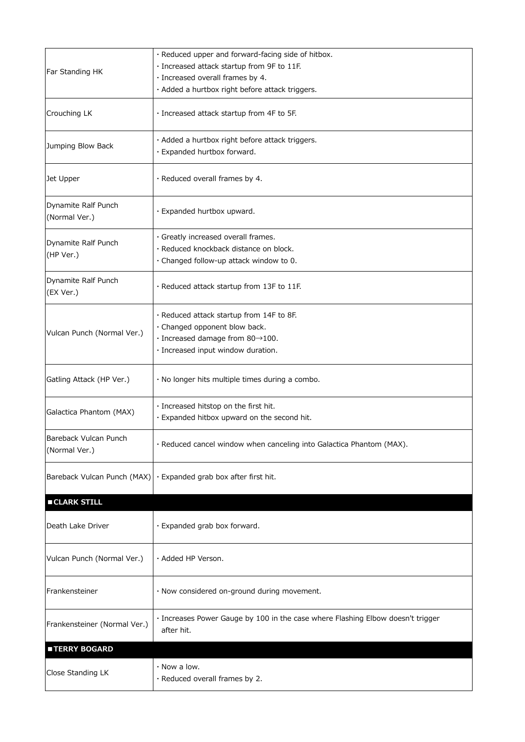|                                        | · Reduced upper and forward-facing side of hitbox.                                            |
|----------------------------------------|-----------------------------------------------------------------------------------------------|
|                                        |                                                                                               |
| Far Standing HK                        | · Increased attack startup from 9F to 11F.                                                    |
|                                        | · Increased overall frames by 4.                                                              |
|                                        | · Added a hurtbox right before attack triggers.                                               |
| Crouching LK                           | · Increased attack startup from 4F to 5F.                                                     |
|                                        | · Added a hurtbox right before attack triggers.                                               |
| Jumping Blow Back                      | · Expanded hurtbox forward.                                                                   |
| Jet Upper                              | · Reduced overall frames by 4.                                                                |
| Dynamite Ralf Punch<br>(Normal Ver.)   | · Expanded hurtbox upward.                                                                    |
| Dynamite Ralf Punch                    | · Greatly increased overall frames.                                                           |
| (HP Ver.)                              | · Reduced knockback distance on block.                                                        |
|                                        | · Changed follow-up attack window to 0.                                                       |
| Dynamite Ralf Punch<br>(EX Ver.)       | · Reduced attack startup from 13F to 11F.                                                     |
|                                        | · Reduced attack startup from 14F to 8F.                                                      |
|                                        | · Changed opponent blow back.                                                                 |
| Vulcan Punch (Normal Ver.)             | $\cdot$ Increased damage from 80 $\rightarrow$ 100.                                           |
|                                        | · Increased input window duration.                                                            |
| Gatling Attack (HP Ver.)               | $\cdot$ No longer hits multiple times during a combo.                                         |
|                                        | · Increased hitstop on the first hit.                                                         |
| Galactica Phantom (MAX)                | · Expanded hitbox upward on the second hit.                                                   |
| Bareback Vulcan Punch<br>(Normal Ver.) | · Reduced cancel window when canceling into Galactica Phantom (MAX).                          |
|                                        | Bareback Vulcan Punch (MAX) $\cdot$ Expanded grab box after first hit.                        |
| <b>CLARK STILL</b>                     |                                                                                               |
| Death Lake Driver                      | · Expanded grab box forward.                                                                  |
| Vulcan Punch (Normal Ver.)             | · Added HP Verson.                                                                            |
| Frankensteiner                         | · Now considered on-ground during movement.                                                   |
| Frankensteiner (Normal Ver.)           | · Increases Power Gauge by 100 in the case where Flashing Elbow doesn't trigger<br>after hit. |
| <b>TERRY BOGARD</b>                    |                                                                                               |
|                                        | $\cdot$ Now a low.                                                                            |
| Close Standing LK                      | · Reduced overall frames by 2.                                                                |
|                                        |                                                                                               |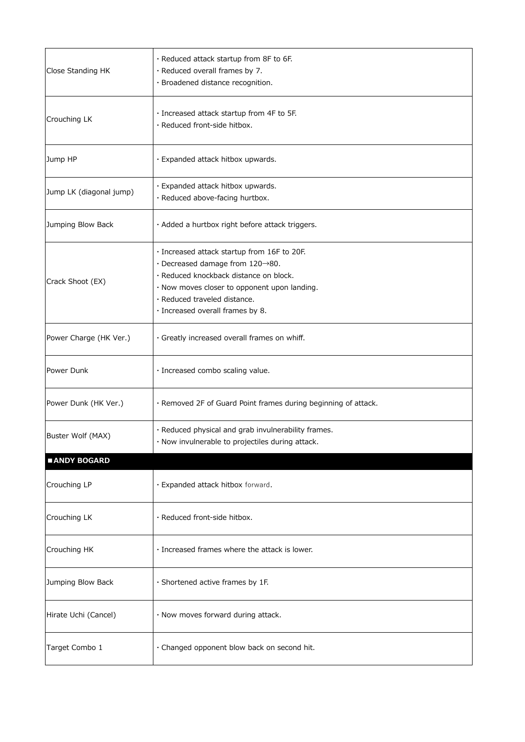| Close Standing HK       | · Reduced attack startup from 8F to 6F.<br>· Reduced overall frames by 7.<br>· Broadened distance recognition.                                                                                                                                                   |
|-------------------------|------------------------------------------------------------------------------------------------------------------------------------------------------------------------------------------------------------------------------------------------------------------|
| Crouching LK            | · Increased attack startup from 4F to 5F.<br>· Reduced front-side hitbox.                                                                                                                                                                                        |
| Jump HP                 | · Expanded attack hitbox upwards.                                                                                                                                                                                                                                |
| Jump LK (diagonal jump) | · Expanded attack hitbox upwards.<br>· Reduced above-facing hurtbox.                                                                                                                                                                                             |
| Jumping Blow Back       | · Added a hurtbox right before attack triggers.                                                                                                                                                                                                                  |
| Crack Shoot (EX)        | · Increased attack startup from 16F to 20F.<br>$\cdot$ Decreased damage from 120 $\rightarrow$ 80.<br>· Reduced knockback distance on block.<br>· Now moves closer to opponent upon landing.<br>· Reduced traveled distance.<br>· Increased overall frames by 8. |
| Power Charge (HK Ver.)  | · Greatly increased overall frames on whiff.                                                                                                                                                                                                                     |
| Power Dunk              | · Increased combo scaling value.                                                                                                                                                                                                                                 |
| Power Dunk (HK Ver.)    | · Removed 2F of Guard Point frames during beginning of attack.                                                                                                                                                                                                   |
| Buster Wolf (MAX)       | · Reduced physical and grab invulnerability frames.<br>· Now invulnerable to projectiles during attack.                                                                                                                                                          |
| <b>ANDY BOGARD</b>      |                                                                                                                                                                                                                                                                  |
| Crouching LP            | · Expanded attack hitbox forward.                                                                                                                                                                                                                                |
| Crouching LK            | · Reduced front-side hitbox.                                                                                                                                                                                                                                     |
| Crouching HK            | · Increased frames where the attack is lower.                                                                                                                                                                                                                    |
| Jumping Blow Back       | · Shortened active frames by 1F.                                                                                                                                                                                                                                 |
| Hirate Uchi (Cancel)    | · Now moves forward during attack.                                                                                                                                                                                                                               |
| Target Combo 1          | · Changed opponent blow back on second hit.                                                                                                                                                                                                                      |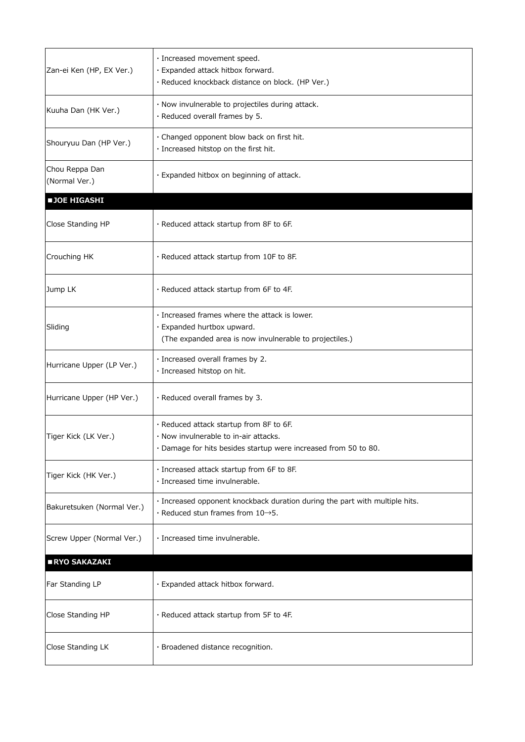|                            | · Increased movement speed.                                                 |
|----------------------------|-----------------------------------------------------------------------------|
| Zan-ei Ken (HP, EX Ver.)   | · Expanded attack hitbox forward.                                           |
|                            | · Reduced knockback distance on block. (HP Ver.)                            |
|                            | · Now invulnerable to projectiles during attack.                            |
| Kuuha Dan (HK Ver.)        | · Reduced overall frames by 5.                                              |
|                            |                                                                             |
| Shouryuu Dan (HP Ver.)     | · Changed opponent blow back on first hit.                                  |
|                            | · Increased hitstop on the first hit.                                       |
| Chou Reppa Dan             |                                                                             |
| (Normal Ver.)              | · Expanded hitbox on beginning of attack.                                   |
| <b>JOE HIGASHI</b>         |                                                                             |
|                            |                                                                             |
| Close Standing HP          | · Reduced attack startup from 8F to 6F.                                     |
|                            |                                                                             |
| Crouching HK               | · Reduced attack startup from 10F to 8F.                                    |
|                            |                                                                             |
|                            |                                                                             |
| Jump LK                    | · Reduced attack startup from 6F to 4F.                                     |
|                            |                                                                             |
|                            | · Increased frames where the attack is lower.                               |
| Sliding                    | · Expanded hurtbox upward.                                                  |
|                            | (The expanded area is now invulnerable to projectiles.)                     |
|                            | · Increased overall frames by 2.                                            |
| Hurricane Upper (LP Ver.)  | · Increased hitstop on hit.                                                 |
|                            |                                                                             |
| Hurricane Upper (HP Ver.)  | · Reduced overall frames by 3.                                              |
|                            |                                                                             |
|                            | · Reduced attack startup from 8F to 6F.                                     |
| Tiger Kick (LK Ver.)       | . Now invulnerable to in-air attacks.                                       |
|                            | · Damage for hits besides startup were increased from 50 to 80.             |
|                            | · Increased attack startup from 6F to 8F.                                   |
| Tiger Kick (HK Ver.)       | · Increased time invulnerable.                                              |
|                            | · Increased opponent knockback duration during the part with multiple hits. |
| Bakuretsuken (Normal Ver.) | $\cdot$ Reduced stun frames from 10 $\rightarrow$ 5.                        |
|                            |                                                                             |
| Screw Upper (Normal Ver.)  | · Increased time invulnerable.                                              |
|                            |                                                                             |
| RYO SAKAZAKI               |                                                                             |
|                            |                                                                             |
| Far Standing LP            | · Expanded attack hitbox forward.                                           |
|                            |                                                                             |
| Close Standing HP          | · Reduced attack startup from 5F to 4F.                                     |
|                            |                                                                             |
| Close Standing LK          | · Broadened distance recognition.                                           |
|                            |                                                                             |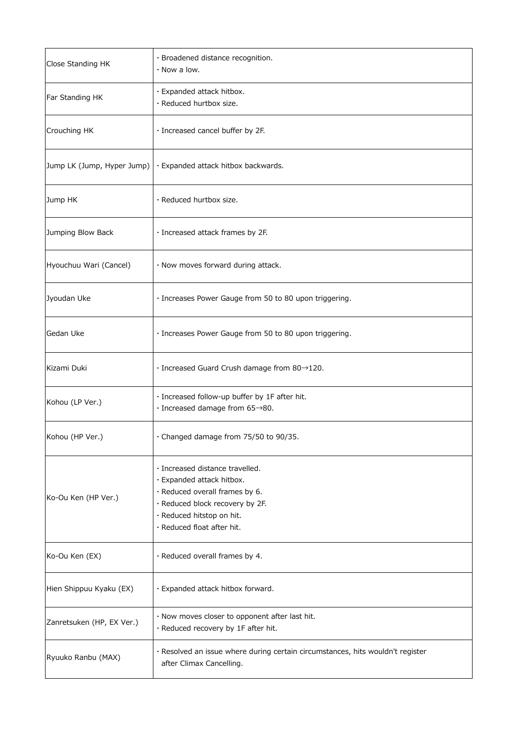| Close Standing HK          | · Broadened distance recognition.<br>$\cdot$ Now a low.                                                                                                                                      |
|----------------------------|----------------------------------------------------------------------------------------------------------------------------------------------------------------------------------------------|
| Far Standing HK            | · Expanded attack hitbox.<br>· Reduced hurtbox size.                                                                                                                                         |
| Crouching HK               | · Increased cancel buffer by 2F.                                                                                                                                                             |
| Jump LK (Jump, Hyper Jump) | · Expanded attack hitbox backwards.                                                                                                                                                          |
| Jump HK                    | · Reduced hurtbox size.                                                                                                                                                                      |
| Jumping Blow Back          | · Increased attack frames by 2F.                                                                                                                                                             |
| Hyouchuu Wari (Cancel)     | · Now moves forward during attack.                                                                                                                                                           |
| Jyoudan Uke                | · Increases Power Gauge from 50 to 80 upon triggering.                                                                                                                                       |
| Gedan Uke                  | · Increases Power Gauge from 50 to 80 upon triggering.                                                                                                                                       |
| Kizami Duki                | $\cdot$ Increased Guard Crush damage from 80 $\rightarrow$ 120.                                                                                                                              |
| Kohou (LP Ver.)            | · Increased follow-up buffer by 1F after hit.<br>$\cdot$ Increased damage from 65 $\rightarrow$ 80.                                                                                          |
| Kohou (HP Ver.)            | · Changed damage from 75/50 to 90/35.                                                                                                                                                        |
| Ko-Ou Ken (HP Ver.)        | · Increased distance travelled.<br>· Expanded attack hitbox.<br>· Reduced overall frames by 6.<br>· Reduced block recovery by 2F.<br>· Reduced hitstop on hit.<br>· Reduced float after hit. |
| Ko-Ou Ken (EX)             | · Reduced overall frames by 4.                                                                                                                                                               |
| Hien Shippuu Kyaku (EX)    | · Expanded attack hitbox forward.                                                                                                                                                            |
| Zanretsuken (HP, EX Ver.)  | · Now moves closer to opponent after last hit.<br>· Reduced recovery by 1F after hit.                                                                                                        |
| Ryuuko Ranbu (MAX)         | · Resolved an issue where during certain circumstances, hits wouldn't register<br>after Climax Cancelling.                                                                                   |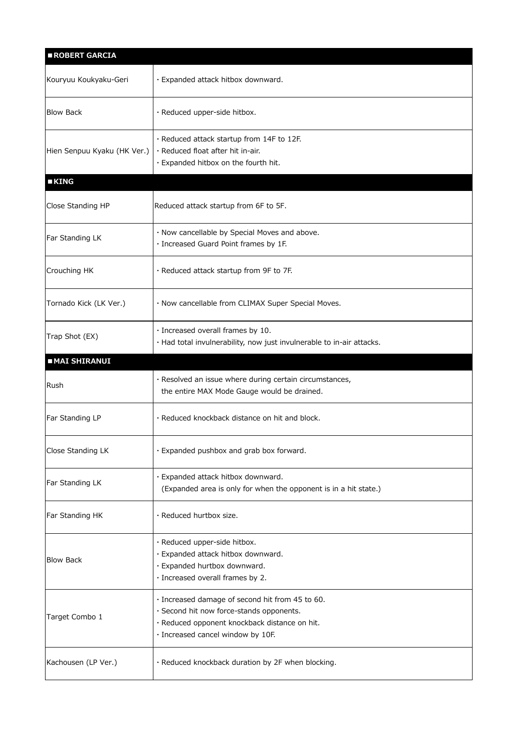| ROBERT GARCIA               |                                                                                                                                                                                   |
|-----------------------------|-----------------------------------------------------------------------------------------------------------------------------------------------------------------------------------|
| Kouryuu Koukyaku-Geri       | · Expanded attack hitbox downward.                                                                                                                                                |
| <b>Blow Back</b>            | · Reduced upper-side hitbox.                                                                                                                                                      |
| Hien Senpuu Kyaku (HK Ver.) | · Reduced attack startup from 14F to 12F.<br>· Reduced float after hit in-air.<br>· Expanded hitbox on the fourth hit.                                                            |
| <b>EKING</b>                |                                                                                                                                                                                   |
| Close Standing HP           | Reduced attack startup from 6F to 5F.                                                                                                                                             |
| Far Standing LK             | · Now cancellable by Special Moves and above.<br>· Increased Guard Point frames by 1F.                                                                                            |
| Crouching HK                | · Reduced attack startup from 9F to 7F.                                                                                                                                           |
| Tornado Kick (LK Ver.)      | · Now cancellable from CLIMAX Super Special Moves.                                                                                                                                |
| Trap Shot (EX)              | · Increased overall frames by 10.<br>· Had total invulnerability, now just invulnerable to in-air attacks.                                                                        |
| <b>MAI SHIRANUI</b>         |                                                                                                                                                                                   |
|                             |                                                                                                                                                                                   |
| Rush                        | · Resolved an issue where during certain circumstances,<br>the entire MAX Mode Gauge would be drained.                                                                            |
| Far Standing LP             | · Reduced knockback distance on hit and block.                                                                                                                                    |
| Close Standing LK           | · Expanded pushbox and grab box forward.                                                                                                                                          |
| Far Standing LK             | · Expanded attack hitbox downward.<br>(Expanded area is only for when the opponent is in a hit state.)                                                                            |
| Far Standing HK             | · Reduced hurtbox size.                                                                                                                                                           |
| <b>Blow Back</b>            | · Reduced upper-side hitbox.<br>· Expanded attack hitbox downward.<br>· Expanded hurtbox downward.<br>· Increased overall frames by 2.                                            |
| Target Combo 1              | · Increased damage of second hit from 45 to 60.<br>· Second hit now force-stands opponents.<br>· Reduced opponent knockback distance on hit.<br>· Increased cancel window by 10F. |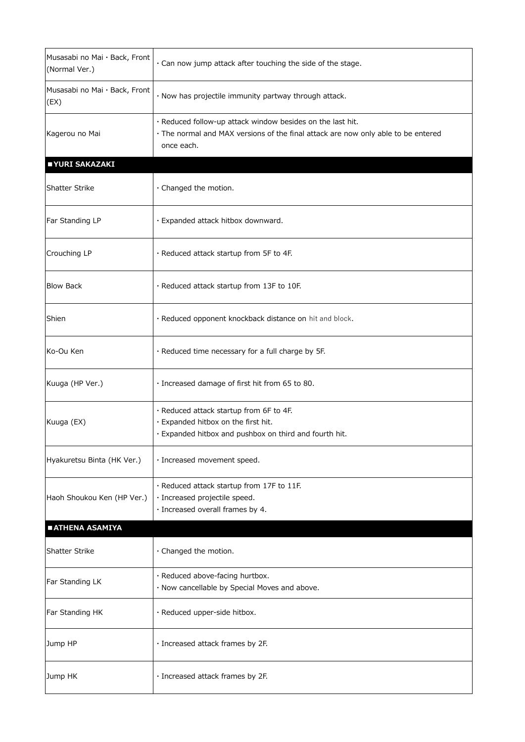| Musasabi no Mai · Back, Front<br>(Normal Ver.) | · Can now jump attack after touching the side of the stage.                                                                                                   |
|------------------------------------------------|---------------------------------------------------------------------------------------------------------------------------------------------------------------|
| Musasabi no Mai · Back, Front<br>(EX)          | · Now has projectile immunity partway through attack.                                                                                                         |
| Kagerou no Mai                                 | · Reduced follow-up attack window besides on the last hit.<br>· The normal and MAX versions of the final attack are now only able to be entered<br>once each. |
| ■ YURI SAKAZAKI                                |                                                                                                                                                               |
| Shatter Strike                                 | $\cdot$ Changed the motion.                                                                                                                                   |
| Far Standing LP                                | · Expanded attack hitbox downward.                                                                                                                            |
| Crouching LP                                   | . Reduced attack startup from 5F to 4F.                                                                                                                       |
| <b>Blow Back</b>                               | · Reduced attack startup from 13F to 10F.                                                                                                                     |
| Shien                                          | · Reduced opponent knockback distance on hit and block.                                                                                                       |
| Ko-Ou Ken                                      | . Reduced time necessary for a full charge by 5F.                                                                                                             |
| Kuuga (HP Ver.)                                | · Increased damage of first hit from 65 to 80.                                                                                                                |
| Kuuga (EX)                                     | . Reduced attack startup from 6F to 4F.<br>· Expanded hitbox on the first hit.<br>· Expanded hitbox and pushbox on third and fourth hit.                      |
| Hyakuretsu Binta (HK Ver.)                     | · Increased movement speed.                                                                                                                                   |
| Haoh Shoukou Ken (HP Ver.)                     | · Reduced attack startup from 17F to 11F.<br>· Increased projectile speed.<br>· Increased overall frames by 4.                                                |
| <b>EATHENA ASAMIYA</b>                         |                                                                                                                                                               |
| <b>Shatter Strike</b>                          | · Changed the motion.                                                                                                                                         |
| Far Standing LK                                | · Reduced above-facing hurtbox.<br>· Now cancellable by Special Moves and above.                                                                              |
| Far Standing HK                                | · Reduced upper-side hitbox.                                                                                                                                  |
| Jump HP                                        | · Increased attack frames by 2F.                                                                                                                              |
| Jump HK                                        | · Increased attack frames by 2F.                                                                                                                              |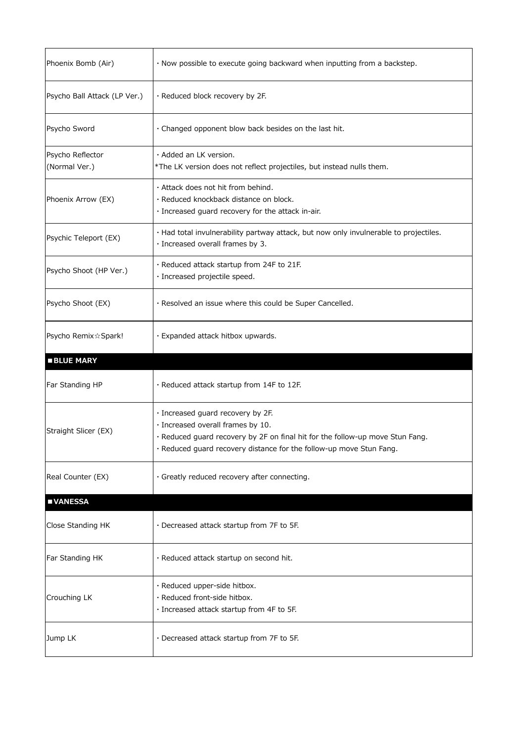| Phoenix Bomb (Air)                | · Now possible to execute going backward when inputting from a backstep.                                                                                                                                                       |
|-----------------------------------|--------------------------------------------------------------------------------------------------------------------------------------------------------------------------------------------------------------------------------|
| Psycho Ball Attack (LP Ver.)      | · Reduced block recovery by 2F.                                                                                                                                                                                                |
| Psycho Sword                      | · Changed opponent blow back besides on the last hit.                                                                                                                                                                          |
| Psycho Reflector<br>(Normal Ver.) | $\cdot$ Added an LK version.<br>*The LK version does not reflect projectiles, but instead nulls them.                                                                                                                          |
| Phoenix Arrow (EX)                | . Attack does not hit from behind.<br>· Reduced knockback distance on block.<br>· Increased guard recovery for the attack in-air.                                                                                              |
| Psychic Teleport (EX)             | · Had total invulnerability partway attack, but now only invulnerable to projectiles.<br>· Increased overall frames by 3.                                                                                                      |
| Psycho Shoot (HP Ver.)            | · Reduced attack startup from 24F to 21F.<br>· Increased projectile speed.                                                                                                                                                     |
| Psycho Shoot (EX)                 | · Resolved an issue where this could be Super Cancelled.                                                                                                                                                                       |
| Psycho Remix☆ Spark!              | · Expanded attack hitbox upwards.                                                                                                                                                                                              |
|                                   |                                                                                                                                                                                                                                |
| <b>BLUE MARY</b>                  |                                                                                                                                                                                                                                |
| Far Standing HP                   | · Reduced attack startup from 14F to 12F.                                                                                                                                                                                      |
| Straight Slicer (EX)              | · Increased guard recovery by 2F.<br>· Increased overall frames by 10.<br>· Reduced guard recovery by 2F on final hit for the follow-up move Stun Fang.<br>· Reduced guard recovery distance for the follow-up move Stun Fang. |
| Real Counter (EX)                 | · Greatly reduced recovery after connecting.                                                                                                                                                                                   |
| <b>UNANESSA</b>                   |                                                                                                                                                                                                                                |
| Close Standing HK                 | · Decreased attack startup from 7F to 5F.                                                                                                                                                                                      |
| Far Standing HK                   | · Reduced attack startup on second hit.                                                                                                                                                                                        |
| Crouching LK                      | · Reduced upper-side hitbox.<br>· Reduced front-side hitbox.<br>· Increased attack startup from 4F to 5F.                                                                                                                      |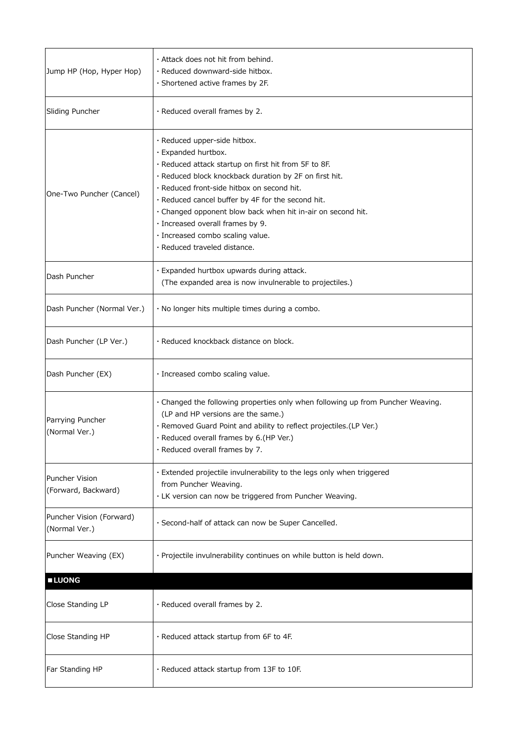| Jump HP (Hop, Hyper Hop)                     | · Attack does not hit from behind.<br>· Reduced downward-side hitbox.<br>· Shortened active frames by 2F.                                                                                                                                                                                                                                                                                                                                       |
|----------------------------------------------|-------------------------------------------------------------------------------------------------------------------------------------------------------------------------------------------------------------------------------------------------------------------------------------------------------------------------------------------------------------------------------------------------------------------------------------------------|
| Sliding Puncher                              | · Reduced overall frames by 2.                                                                                                                                                                                                                                                                                                                                                                                                                  |
| One-Two Puncher (Cancel)                     | · Reduced upper-side hitbox.<br>· Expanded hurtbox.<br>· Reduced attack startup on first hit from 5F to 8F.<br>· Reduced block knockback duration by 2F on first hit.<br>· Reduced front-side hitbox on second hit.<br>· Reduced cancel buffer by 4F for the second hit.<br>· Changed opponent blow back when hit in-air on second hit.<br>· Increased overall frames by 9.<br>· Increased combo scaling value.<br>· Reduced traveled distance. |
| Dash Puncher                                 | · Expanded hurtbox upwards during attack.<br>(The expanded area is now invulnerable to projectiles.)                                                                                                                                                                                                                                                                                                                                            |
| Dash Puncher (Normal Ver.)                   | · No longer hits multiple times during a combo.                                                                                                                                                                                                                                                                                                                                                                                                 |
| Dash Puncher (LP Ver.)                       | · Reduced knockback distance on block.                                                                                                                                                                                                                                                                                                                                                                                                          |
| Dash Puncher (EX)                            | · Increased combo scaling value.                                                                                                                                                                                                                                                                                                                                                                                                                |
| Parrying Puncher<br>(Normal Ver.)            | . Changed the following properties only when following up from Puncher Weaving.<br>(LP and HP versions are the same.)<br>· Removed Guard Point and ability to reflect projectiles.(LP Ver.)<br>· Reduced overall frames by 6.(HP Ver.)<br>· Reduced overall frames by 7.                                                                                                                                                                        |
| <b>Puncher Vision</b><br>(Forward, Backward) | · Extended projectile invulnerability to the legs only when triggered<br>from Puncher Weaving.<br>· LK version can now be triggered from Puncher Weaving.                                                                                                                                                                                                                                                                                       |
| Puncher Vision (Forward)<br>(Normal Ver.)    | · Second-half of attack can now be Super Cancelled.                                                                                                                                                                                                                                                                                                                                                                                             |
| Puncher Weaving (EX)                         | · Projectile invulnerability continues on while button is held down.                                                                                                                                                                                                                                                                                                                                                                            |
| <b>LUONG</b>                                 |                                                                                                                                                                                                                                                                                                                                                                                                                                                 |
| Close Standing LP                            | · Reduced overall frames by 2.                                                                                                                                                                                                                                                                                                                                                                                                                  |
| Close Standing HP                            | · Reduced attack startup from 6F to 4F.                                                                                                                                                                                                                                                                                                                                                                                                         |
| Far Standing HP                              | · Reduced attack startup from 13F to 10F.                                                                                                                                                                                                                                                                                                                                                                                                       |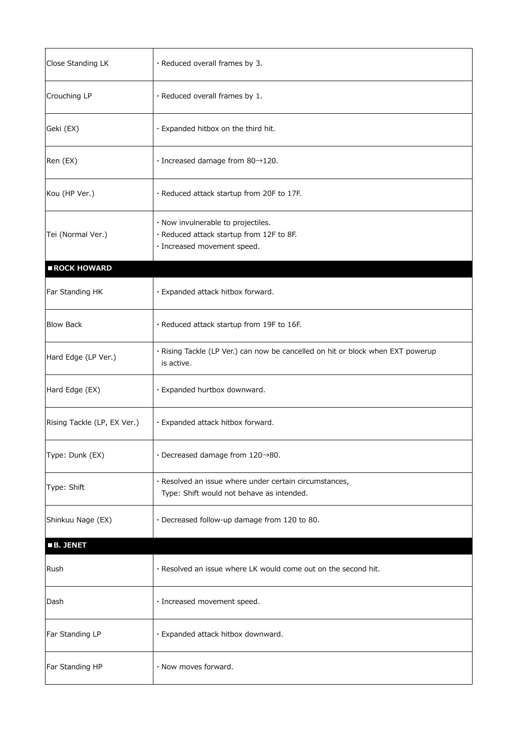| Close Standing LK           | $\cdot$ Reduced overall frames by 3.                                                                          |
|-----------------------------|---------------------------------------------------------------------------------------------------------------|
| Crouching LP                | $\cdot$ Reduced overall frames by 1.                                                                          |
| Geki (EX)                   | · Expanded hitbox on the third hit.                                                                           |
| Ren (EX)                    | $\cdot$ Increased damage from 80 $\rightarrow$ 120.                                                           |
| Kou (HP Ver.)               | . Reduced attack startup from 20F to 17F.                                                                     |
| Tei (Normal Ver.)           | · Now invulnerable to projectiles.<br>· Reduced attack startup from 12F to 8F.<br>· Increased movement speed. |
| ROCK HOWARD                 |                                                                                                               |
| Far Standing HK             | · Expanded attack hitbox forward.                                                                             |
| <b>Blow Back</b>            | · Reduced attack startup from 19F to 16F.                                                                     |
| Hard Edge (LP Ver.)         | · Rising Tackle (LP Ver.) can now be cancelled on hit or block when EXT powerup<br>is active.                 |
| Hard Edge (EX)              | · Expanded hurtbox downward.                                                                                  |
| Rising Tackle (LP, EX Ver.) | · Expanded attack hitbox forward.                                                                             |
| Type: Dunk (EX)             | $\cdot$ Decreased damage from 120 $\rightarrow$ 80.                                                           |
| Type: Shift                 | · Resolved an issue where under certain circumstances,<br>Type: Shift would not behave as intended.           |
| Shinkuu Nage (EX)           | · Decreased follow-up damage from 120 to 80.                                                                  |
| <b>B. JENET</b>             |                                                                                                               |
| Rush                        | . Resolved an issue where LK would come out on the second hit.                                                |
| Dash                        | · Increased movement speed.                                                                                   |
| Far Standing LP             | · Expanded attack hitbox downward.                                                                            |
| Far Standing HP             | · Now moves forward.                                                                                          |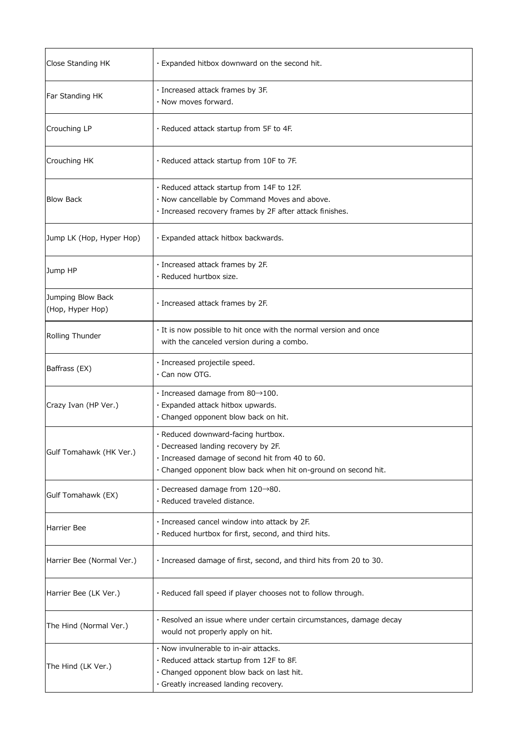| Close Standing HK                     | . Expanded hitbox downward on the second hit.                                                                                                                                                  |
|---------------------------------------|------------------------------------------------------------------------------------------------------------------------------------------------------------------------------------------------|
| Far Standing HK                       | · Increased attack frames by 3F.<br>. Now moves forward.                                                                                                                                       |
| Crouching LP                          | $\cdot$ Reduced attack startup from 5F to 4F.                                                                                                                                                  |
| Crouching HK                          | . Reduced attack startup from 10F to 7F.                                                                                                                                                       |
| <b>Blow Back</b>                      | · Reduced attack startup from 14F to 12F.<br>· Now cancellable by Command Moves and above.<br>· Increased recovery frames by 2F after attack finishes.                                         |
| Jump LK (Hop, Hyper Hop)              | · Expanded attack hitbox backwards.                                                                                                                                                            |
| Jump HP                               | · Increased attack frames by 2F.<br>· Reduced hurtbox size.                                                                                                                                    |
| Jumping Blow Back<br>(Hop, Hyper Hop) | · Increased attack frames by 2F.                                                                                                                                                               |
| Rolling Thunder                       | · It is now possible to hit once with the normal version and once<br>with the canceled version during a combo.                                                                                 |
| Baffrass (EX)                         | · Increased projectile speed.<br>· Can now OTG.                                                                                                                                                |
| Crazy Ivan (HP Ver.)                  | $\cdot$ Increased damage from 80 $\rightarrow$ 100.<br>· Expanded attack hitbox upwards.<br>· Changed opponent blow back on hit.                                                               |
| Gulf Tomahawk (HK Ver.)               | · Reduced downward-facing hurtbox.<br>· Decreased landing recovery by 2F.<br>· Increased damage of second hit from 40 to 60.<br>· Changed opponent blow back when hit on-ground on second hit. |
| Gulf Tomahawk (EX)                    | $\cdot$ Decreased damage from 120 $\rightarrow$ 80.<br>· Reduced traveled distance.                                                                                                            |
| Harrier Bee                           | · Increased cancel window into attack by 2F.<br>· Reduced hurtbox for first, second, and third hits.                                                                                           |
| Harrier Bee (Normal Ver.)             | · Increased damage of first, second, and third hits from 20 to 30.                                                                                                                             |
| Harrier Bee (LK Ver.)                 | · Reduced fall speed if player chooses not to follow through.                                                                                                                                  |
| The Hind (Normal Ver.)                | · Resolved an issue where under certain circumstances, damage decay<br>would not properly apply on hit.                                                                                        |
| The Hind (LK Ver.)                    | . Now invulnerable to in-air attacks.<br>· Reduced attack startup from 12F to 8F.<br>· Changed opponent blow back on last hit.<br>· Greatly increased landing recovery.                        |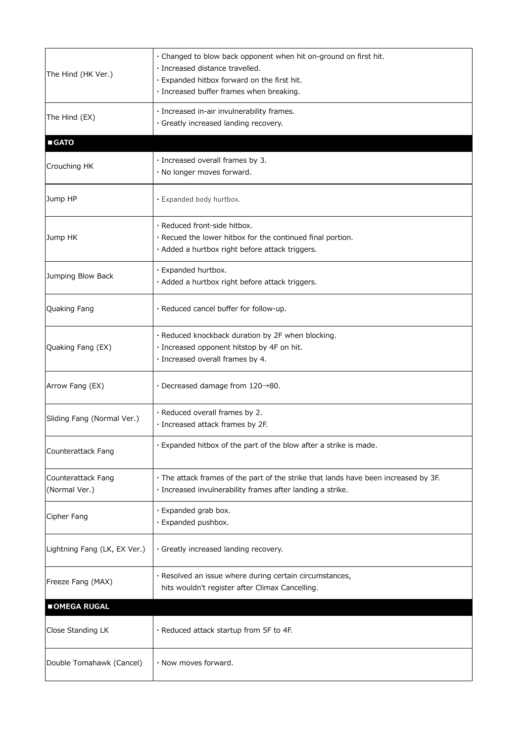| The Hind (HK Ver.)                  | · Changed to blow back opponent when hit on-ground on first hit.<br>· Increased distance travelled.<br>· Expanded hitbox forward on the first hit.<br>· Increased buffer frames when breaking. |
|-------------------------------------|------------------------------------------------------------------------------------------------------------------------------------------------------------------------------------------------|
| The Hind (EX)                       | · Increased in-air invulnerability frames.<br>· Greatly increased landing recovery.                                                                                                            |
| <b>GATO</b>                         |                                                                                                                                                                                                |
| Crouching HK                        | · Increased overall frames by 3.<br>· No longer moves forward.                                                                                                                                 |
| Jump HP                             | · Expanded body hurtbox.                                                                                                                                                                       |
| Jump HK                             | · Reduced front-side hitbox.<br>· Recued the lower hitbox for the continued final portion.<br>· Added a hurtbox right before attack triggers.                                                  |
| Jumping Blow Back                   | · Expanded hurtbox.<br>· Added a hurtbox right before attack triggers.                                                                                                                         |
| Quaking Fang                        | · Reduced cancel buffer for follow-up.                                                                                                                                                         |
| Quaking Fang (EX)                   | · Reduced knockback duration by 2F when blocking.<br>· Increased opponent hitstop by 4F on hit.<br>· Increased overall frames by 4.                                                            |
| Arrow Fang (EX)                     | $\cdot$ Decreased damage from 120 $\rightarrow$ 80.                                                                                                                                            |
| Sliding Fang (Normal Ver.)          | · Reduced overall frames by 2.<br>· Increased attack frames by 2F.                                                                                                                             |
| Counterattack Fang                  | · Expanded hitbox of the part of the blow after a strike is made.                                                                                                                              |
| Counterattack Fang<br>(Normal Ver.) | . The attack frames of the part of the strike that lands have been increased by 3F.<br>· Increased invulnerability frames after landing a strike.                                              |
| Cipher Fang                         | · Expanded grab box.<br>· Expanded pushbox.                                                                                                                                                    |
| Lightning Fang (LK, EX Ver.)        | · Greatly increased landing recovery.                                                                                                                                                          |
| Freeze Fang (MAX)                   | · Resolved an issue where during certain circumstances,<br>hits wouldn't register after Climax Cancelling.                                                                                     |
| OMEGA RUGAL                         |                                                                                                                                                                                                |
| Close Standing LK                   | . Reduced attack startup from 5F to 4F.                                                                                                                                                        |
| Double Tomahawk (Cancel)            | $\cdot$ Now moves forward.                                                                                                                                                                     |